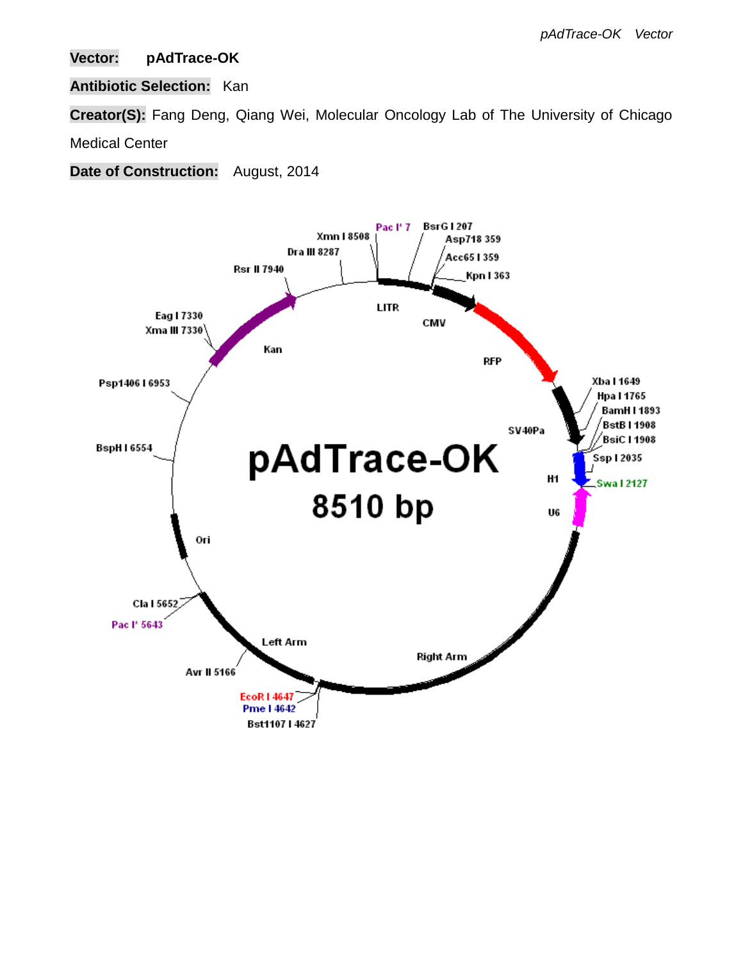## **Vector: pAdTrace-OK**

## **Antibiotic Selection:** Kan

**Creator(S):** Fang Deng, Qiang Wei, Molecular Oncology Lab of The University of Chicago

Medical Center

**Date of Construction:** August, 2014

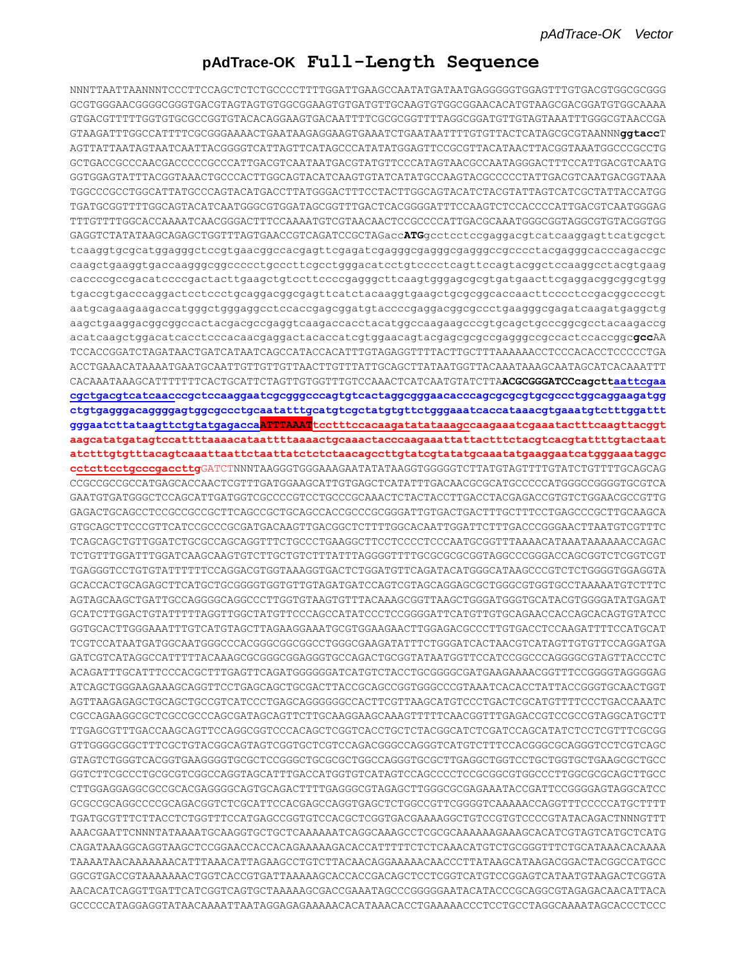### **pAdTrace-OK Full-Length Sequence**

NNNTTAATTAANNNTCCCTTCCAGCTCTCTGCCCCTTTTGGATTGAAGCCAATATGATAATGAGGGGGTGGAGTTTGTGACGTGGCGCGGG GCGTGGGAACGGGGCGGGTGACGTAGTAGTGTGGCGGAAGTGTGATGTTGCAAGTGTGGCGGAACACATGTAAGCGACGGATGTGGCAAAA GTGACGTTTTTGGTGTGCGCCGGTGTACACAGGAAGTGACAATTTTCGCGCGGTTTTAGGCGGATGTTGTAGTAAATTTGGGCGTAACCGA GTAAGATTTGGCCATTTTCGCGGGAAAACTGAATAAGAGGAAGTGAAATCTGAATAATTTTGTGTTACTCATAGCGCGTAANNN**ggtacc**T AGTTATTAATAGTAATCAATTACGGGGTCATTAGTTCATAGCCCATATATGGAGTTCCGCGTTACATAACTTACGGTAAATGGCCCGCCTG GCTGACCGCCCAACGACCCCCGCCCATTGACGTCAATAATGACGTATGTTCCCATAGTAACGCCAATAGGGACTTTCCATTGACGTCAATG GGTGGAGTATTTACGGTAAACTGCCCACTTGGCAGTACATCAAGTGTATCATATGCCAAGTACGCCCCCTATTGACGTCAATGACGGTAAA TGGCCCGCCTGGCATTATGCCCAGTACATGACCTTATGGGACTTTCCTACTTGGCAGTACATCTACGTATTAGTCATCGCTATTACCATGG TGATGCGGTTTTGGCAGTACATCAATGGGCGTGGATAGCGGTTTGACTCACGGGGATTTCCAAGTCTCCACCCCATTGACGTCAATGGGAG TTTGTTTTGGCACCAAAATCAACGGGACTTTCCAAAATGTCGTAACAACTCCGCCCCATTGACGCAAATGGGCGGTAGGCGTGTACGGTGG GAGGTCTATATAAGCAGAGCTGGTTTAGTGAACCGTCAGATCCGCTAGacc**ATG**gcctcctccgaggacgtcatcaaggagttcatgcgct tcaaggtgcgcatggagggctccgtgaacggccacgagttcgagatcgagggcgagggcgagggccgcccctacgagggcacccagaccgc caagctgaaggtgaccaagggcggccccctgcccttcgcctgggacatcctgtcccctcagttccagtacggctccaaggcctacgtgaag caccccgccgacatccccgactacttgaagctgtccttccccgagggcttcaagtgggagcgcgtgatgaacttcgaggacggcggcgtgg tgaccgtgacccaggactcctccctgcaggacggcgagttcatctacaaggtgaagctgcgcggcaccaacttcccctccgacggccccgt aatgcagaagaagaccatgggctgggaggcctccaccgagcggatgtaccccgaggacggcgccctgaagggcgagatcaagatgaggctg aagctgaaggacggcggccactacgacgccgaggtcaagaccacctacatggccaagaagcccgtgcagctgcccggcgcctacaagaccg acatcaagctggacatcacctcccacaacgaggactacaccatcgtggaacagtacgagcgcgccgagggccgccactccaccggc**gcc**AA TCCACCGGATCTAGATAACTGATCATAATCAGCCATACCACATTTGTAGAGGTTTTACTTGCTTTAAAAAACCTCCCACACCTCCCCCTGA ACCTGAAACATAAAATGAATGCAATTGTTGTTGTTAACTTGTTTATTGCAGCTTATAATGGTTACAAATAAAGCAATAGCATCACAAATTT CACAAATAAAGCATTTTTTTCACTGCATTCTAGTTGTGGTTTGTCCAAACTCATCAATGTATCTTA**ACGCGGGATCCcagcttaattcgaa cgctgacgtcatcaacccgctccaaggaatcgcgggcccagtgtcactaggcgggaacacccagcgcgcgtgcgccctggcaggaagatgg ctgtgagggacaggggagtggcgccctgcaatatttgcatgtcgctatgtgttctgggaaatcaccataaacgtgaaatgtctttggattt gggaatcttataagttctgtatgagaccaATTTAAATtcctttccacaagatatataaagccaagaaatcgaaatactttcaagttacggt aagcatatgatagtccattttaaaacataattttaaaactgcaaactacccaagaaattattactttctacgtcacgtattttgtactaat atctttgtgtttacagtcaaattaattctaattatctctctaacagccttgtatcgtatatgcaaatatgaaggaatcatgggaaataggc cctcttcctgcccgaccttg**GATCTNNNTAAGGGTGGGAAAGAATATATAAGGTGGGGGTCTTATGTAGTTTTGTATCTGTTTTGCAGCAG CCGCCGCCGCCATGAGCACCAACTCGTTTGATGGAAGCATTGTGAGCTCATATTTGACAACGCGCATGCCCCCATGGGCCGGGGTGCGTCA GAATGTGATGGGCTCCAGCATTGATGGTCGCCCCGTCCTGCCCGCAAACTCTACTACCTTGACCTACGAGACCGTGTCTGGAACGCCGTTG GAGACTGCAGCCTCCGCCGCCGCTTCAGCCGCTGCAGCCACCGCCCGCGGGATTGTGACTGACTTTGCTTTCCTGAGCCCGCTTGCAAGCA GTGCAGCTTCCCGTTCATCCGCCCGCGATGACAAGTTGACGGCTCTTTTGGCACAATTGGATTCTTTGACCCGGGAACTTAATGTCGTTTC TCAGCAGCTGTTGGATCTGCGCCAGCAGGTTTCTGCCCTGAAGGCTTCCTCCCCTCCCAATGCGGTTTAAAACATAAATAAAAAACCAGAC TCTGTTTGGATTTGGATCAAGCAAGTGTCTTGCTGTCTTTATTTAGGGGTTTTGCGCGCGCGGTAGGCCCGGGACCAGCGGTCTCGGTCGT TGAGGGTCCTGTGTATTTTTTCCAGGACGTGGTAAAGGTGACTCTGGATGTTCAGATACATGGGCATAAGCCCGTCTCTGGGGTGGAGGTA GCACCACTGCAGAGCTTCATGCTGCGGGGTGGTGTTGTAGATGATCCAGTCGTAGCAGGAGCGCTGGGCGTGGTGCCTAAAAATGTCTTTC AGTAGCAAGCTGATTGCCAGGGGCAGGCCCTTGGTGTAAGTGTTTACAAAGCGGTTAAGCTGGGATGGGTGCATACGTGGGGATATGAGAT GCATCTTGGACTGTATTTTTAGGTTGGCTATGTTCCCAGCCATATCCCTCCGGGGATTCATGTTGTGCAGAACCACCAGCACAGTGTATCC GGTGCACTTGGGAAATTTGTCATGTAGCTTAGAAGGAAATGCGTGGAAGAACTTGGAGACGCCCTTGTGACCTCCAAGATTTTCCATGCAT TCGTCCATAATGATGGCAATGGGCCCACGGGCGGCGGCCTGGGCGAAGATATTTCTGGGATCACTAACGTCATAGTTGTGTTCCAGGATGA GATCGTCATAGGCCATTTTTACAAAGCGCGGGCGGAGGGTGCCAGACTGCGGTATAATGGTTCCATCCGGCCCAGGGGCGTAGTTACCCTC ACAGATTTGCATTTCCCACGCTTTGAGTTCAGATGGGGGGATCATGTCTACCTGCGGGGCGATGAAGAAAACGGTTTCCGGGGTAGGGGAG ATCAGCTGGGAAGAAAGCAGGTTCCTGAGCAGCTGCGACTTACCGCAGCCGGTGGGCCCGTAAATCACACCTATTACCGGGTGCAACTGGT AGTTAAGAGAGCTGCAGCTGCCGTCATCCCTGAGCAGGGGGGCCACTTCGTTAAGCATGTCCCTGACTCGCATGTTTTCCCTGACCAAATC CGCCAGAAGGCGCTCGCCGCCCAGCGATAGCAGTTCTTGCAAGGAAGCAAAGTTTTTCAACGGTTTGAGACCGTCCGCCGTAGGCATGCTT TTGAGCGTTTGACCAAGCAGTTCCAGGCGGTCCCACAGCTCGGTCACCTGCTCTACGGCATCTCGATCCAGCATATCTCCTCGTTTCGCGG GTTGGGGCGGCTTTCGCTGTACGGCAGTAGTCGGTGCTCGTCCAGACGGGCCAGGGTCATGTCTTTCCACGGGCGCAGGGTCCTCGTCAGC GTAGTCTGGGTCACGGTGAAGGGGTGCGCTCCGGGCTGCGCGCTGGCCAGGGTGCGCTTGAGGCTGGTCCTGCTGGTGCTGAAGCGCTGCC GGTCTTCGCCCTGCGCGTCGGCCAGGTAGCATTTGACCATGGTGTCATAGTCCAGCCCCTCCGCGGCGTGGCCCTTGGCGCGCAGCTTGCC CTTGGAGGAGGCGCCGCACGAGGGGCAGTGCAGACTTTTGAGGGCGTAGAGCTTGGGCGCGAGAAATACCGATTCCGGGGAGTAGGCATCC GCGCCGCAGGCCCCGCAGACGGTCTCGCATTCCACGAGCCAGGTGAGCTCTGGCCGTTCGGGGTCAAAAACCAGGTTTCCCCCATGCTTTT TGATGCGTTTCTTACCTCTGGTTTCCATGAGCCGGTGTCCACGCTCGGTGACGAAAAGGCTGTCCGTGTCCCCGTATACAGACTNNNGTTT AAACGAATTCNNNTATAAAATGCAAGGTGCTGCTCAAAAAATCAGGCAAAGCCTCGCGCAAAAAAGAAAGCACATCGTAGTCATGCTCATG CAGATAAAGGCAGGTAAGCTCCGGAACCACCACAGAAAAAGACACCATTTTTCTCTCAAACATGTCTGCGGGTTTCTGCATAAACACAAAA TAAAATAACAAAAAAACATTTAAACATTAGAAGCCTGTCTTACAACAGGAAAAACAACCCTTATAAGCATAAGACGGACTACGGCCATGCC GGCGTGACCGTAAAAAAACTGGTCACCGTGATTAAAAAGCACCACCGACAGCTCCTCGGTCATGTCCGGAGTCATAATGTAAGACTCGGTA AACACATCAGGTTGATTCATCGGTCAGTGCTAAAAAGCGACCGAAATAGCCCGGGGGAATACATACCCGCAGGCGTAGAGACAACATTACA GCCCCCATAGGAGGTATAACAAAATTAATAGGAGAGAAAAACACATAAACACCTGAAAAACCCTCCTGCCTAGGCAAAATAGCACCCTCCC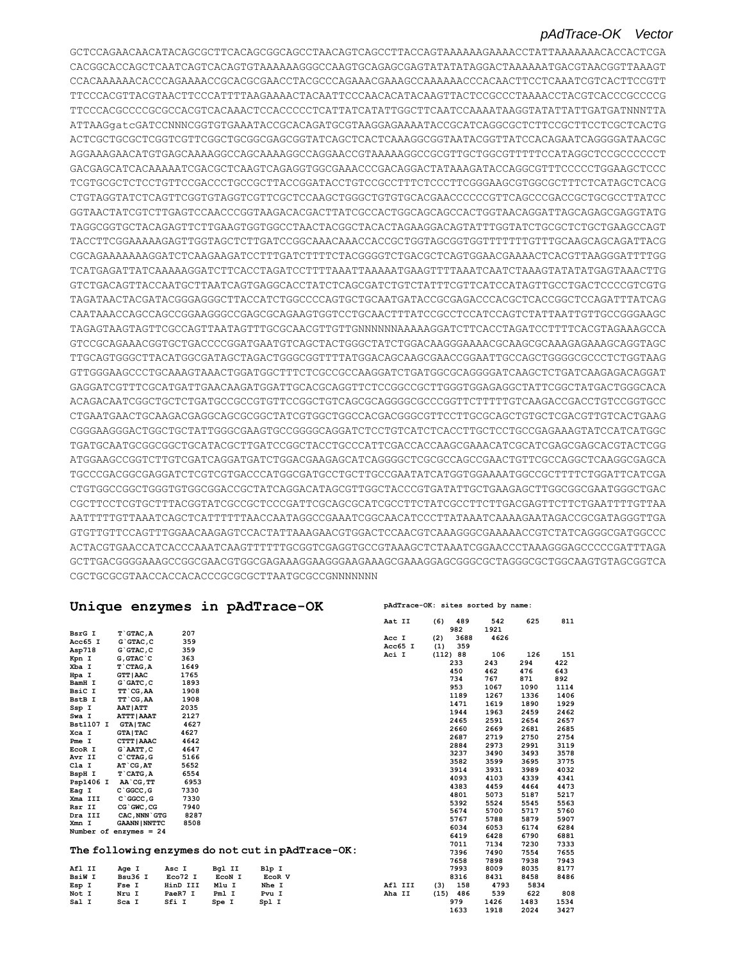#### *pAdTrace-OK Vector*

GCTCCAGAACAACATACAGCGCTTCACAGCGGCAGCCTAACAGTCAGCCTTACCAGTAAAAAAGAAAACCTATTAAAAAAACACCACTCGA CACGGCACCAGCTCAATCAGTCACAGTGTAAAAAAGGGCCAAGTGCAGAGCGAGTATATATAGGACTAAAAAATGACGTAACGGTTAAAGT CCACAAAAAACACCCAGAAAACCGCACGCGAACCTACGCCCAGAAACGAAAGCCAAAAAACCCACAACTTCCTCAAATCGTCACTTCCGTT TTCCCACGTTACGTAACTTCCCATTTTAAGAAAACTACAATTCCCAACACATACAAGTTACTCCGCCCTAAAACCTACGTCACCCGCCCCG TTCCCACGCCCCGCGCCACGTCACAAACTCCACCCCCTCATTATCATATTGGCTTCAATCCAAAATAAGGTATATTATTGATGATNNNTTA ATTAAGgatcGATCCNNNCGGTGTGAAATACCGCACAGATGCGTAAGGAGAAAATACCGCATCAGGCGCTCTTCCGCTTCCTCGCTCACTG ACTCGCTGCGCTCGGTCGTTCGGCTGCGGCGAGCGGTATCAGCTCACTCAAAGGCGGTAATACGGTTATCCACAGAATCAGGGGATAACGC AGGAAAGAACATGTGAGCAAAAGGCCAGCAAAAGGCCAGGAACCGTAAAAAGGCCGCGTTGCTGGCGTTTTTCCATAGGCTCCGCCCCCCT GACGAGCATCACAAAAATCGACGCTCAAGTCAGAGGTGGCGAAACCCGACAGGACTATAAAGATACCAGGCGTTTCCCCCTGGAAGCTCCC TCGTGCGCTCTCCTGTTCCGACCCTGCCGCTTACCGGATACCTGTCCGCCTTTCTCCCTTCGGGAAGCGTGGCGCTTTCTCATAGCTCACG CTGTAGGTATCTCAGTTCGGTGTAGGTCGTTCGCTCCAAGCTGGGCTGTGTGCACGAACCCCCCGTTCAGCCCGACCGCTGCGCCTTATCC GGTAACTATCGTCTTGAGTCCAACCCGGTAAGACACGACTTATCGCCACTGGCAGCAGCCACTGGTAACAGGATTAGCAGAGCGAGGTATG TAGGCGGTGCTACAGAGTTCTTGAAGTGGTGGCCTAACTACGGCTACACTAGAAGGACAGTATTTGGTATCTGCGCTCTGCTGAAGCCAGT TACCTTCGGAAAAAGAGTTGGTAGCTCTTGATCCGGCAAACAAACCACCGCTGGTAGCGGTGGTTTTTTTGTTTGCAAGCAGCAGATTACG CGCAGAAAAAAAGGATCTCAAGAAGATCCTTTGATCTTTTCTACGGGGTCTGACGCTCAGTGGAACGAAAACTCACGTTAAGGGATTTTGG TCATGAGATTATCAAAAAGGATCTTCACCTAGATCCTTTTAAATTAAAAATGAAGTTTTAAATCAATCTAAAGTATATATGAGTAAACTTG GTCTGACAGTTACCAATGCTTAATCAGTGAGGCACCTATCTCAGCGATCTGTCTATTTCGTTCATCCATAGTTGCCTGACTCCCCGTCGTG TAGATAACTACGATACGGGAGGGCTTACCATCTGGCCCCAGTGCTGCAATGATACCGCGAGACCCACGCTCACCGGCTCCAGATTTATCAG CAATAAACCAGCCAGCCGGAAGGGCCGAGCGCAGAAGTGGTCCTGCAACTTTATCCGCCTCCATCCAGTCTATTAATTGTTGCCGGGAAGC TAGAGTAAGTAGTTCGCCAGTTAATAGTTTGCGCAACGTTGTTGNNNNNNAAAAAGGATCTTCACCTAGATCCTTTTCACGTAGAAAGCCA GTCCGCAGAAACGGTGCTGACCCCGGATGAATGTCAGCTACTGGGCTATCTGGACAAGGGAAAACGCAAGCGCAAAGAGAAAGCAGGTAGC TTGCAGTGGGCTTACATGGCGATAGCTAGACTGGGCGGTTTTATGGACAGCAAGCGAACCGGAATTGCCAGCTGGGGCGCCCTCTGGTAAG GTTGGGAAGCCCTGCAAAGTAAACTGGATGGCTTTCTCGCCGCCAAGGATCTGATGGCGCAGGGGATCAAGCTCTGATCAAGAGACAGGAT GAGGATCGTTTCGCATGATTGAACAAGATGGATTGCACGCAGGTTCTCCGGCCGCTTGGGTGGAGAGGCTATTCGGCTATGACTGGGCACA ACAGACAATCGGCTGCTCTGATGCCGCCGTGTTCCGGCTGTCAGCGCAGGGGCGCCCGGTTCTTTTTGTCAAGACCGACCTGTCCGGTGCC CTGAATGAACTGCAAGACGAGGCAGCGCGGCTATCGTGGCTGGCCACGACGGGCGTTCCTTGCGCAGCTGTGCTCGACGTTGTCACTGAAG CGGGAAGGGACTGGCTGCTATTGGGCGAAGTGCCGGGGCAGGATCTCCTGTCATCTCACCTTGCTCCTGCCGAGAAAGTATCCATCATGGC TGATGCAATGCGGCGGCTGCATACGCTTGATCCGGCTACCTGCCCATTCGACCACCAAGCGAAACATCGCATCGAGCGAGCACGTACTCGG ATGGAAGCCGGTCTTGTCGATCAGGATGATCTGGACGAAGAGCATCAGGGGCTCGCGCCAGCCGAACTGTTCGCCAGGCTCAAGGCGAGCA TGCCCGACGGCGAGGATCTCGTCGTGACCCATGGCGATGCCTGCTTGCCGAATATCATGGTGGAAAATGGCCGCTTTTCTGGATTCATCGA CTGTGGCCGGCTGGGTGTGGCGGACCGCTATCAGGACATAGCGTTGGCTACCCGTGATATTGCTGAAGAGCTTGGCGGCGAATGGGCTGAC CGCTTCCTCGTGCTTTACGGTATCGCCGCTCCCGATTCGCAGCGCATCGCCTTCTATCGCCTTCTTGACGAGTTCTTCTGAATTTTGTTAA AATTTTTGTTAAATCAGCTCATTTTTTAACCAATAGGCCGAAATCGGCAACATCCCTTATAAATCAAAAGAATAGACCGCGATAGGGTTGA GTGTTGTTCCAGTTTGGAACAAGAGTCCACTATTAAAGAACGTGGACTCCAACGTCAAAGGGCGAAAAACCGTCTATCAGGGCGATGGCCC ACTACGTGAACCATCACCCAAATCAAGTTTTTTGCGGTCGAGGTGCCGTAAAGCTCTAAATCGGAACCCTAAAGGGAGCCCCCGATTTAGA GCTTGACGGGGAAAGCCGGCGAACGTGGCGAGAAAGGAAGGGAAGAAAGCGAAAGGAGCGGGCGCTAGGGCGCTGGCAAGTGTAGCGGTCA CGCTGCGCGTAACCACCACACCCGCGCGCTTAATGCGCCGNNNNNNN

|                  |                          |          |        | Unique enzymes in pAdTrace-OK                    |       |         |     |            | pAdTrace-OK: sites sorted by name: |      |      |
|------------------|--------------------------|----------|--------|--------------------------------------------------|-------|---------|-----|------------|------------------------------------|------|------|
|                  |                          |          |        |                                                  |       | Aat II  | (6) | 489<br>982 | 542<br>1921                        | 625  | 811  |
| BsrG I           | T GTAC, A                | 207      |        |                                                  | Acc I |         | (2) | 3688       | 4626                               |      |      |
| Acc65 I          | $G$ $G$ TAC, C           | 359      |        |                                                  |       | Acc65 I | (1) | 359        |                                    |      |      |
| Asp718           | G`GTAC, C                | 359      |        |                                                  |       | Aci I   |     | (112) 88   | 106                                | 126  | 151  |
| Kpn I            | G, GTAC C                | 363      |        |                                                  |       |         |     | 233        | 243                                | 294  | 422  |
| Xba I            | T CTAG, A                | 1649     |        |                                                  |       |         |     | 450        | 462                                | 476  | 643  |
| Hpa I            | <b>GTT   AAC</b>         | 1765     |        |                                                  |       |         |     | 734        | 767                                | 871  | 892  |
| BamH I           | $G$ $GATC$ , $C$         | 1893     |        |                                                  |       |         |     | 953        | 1067                               | 1090 | 1114 |
| BsiC I           | TT CG, AA                | 1908     |        |                                                  |       |         |     | 1189       | 1267                               | 1336 | 1406 |
| BstB I           | TT CG, AA                | 1908     |        |                                                  |       |         |     | 1471       | 1619                               | 1890 | 1929 |
| Ssp I            | <b>AAT   ATT</b>         | 2035     |        |                                                  |       |         |     | 1944       | 1963                               | 2459 | 2462 |
| Swa I            | <b>ATTT   AAAT</b>       | 2127     |        |                                                  |       |         |     |            |                                    |      | 2657 |
| <b>Bst1107 I</b> | <b>GTA   TAC</b>         | 4627     |        |                                                  |       |         |     | 2465       | 2591                               | 2654 | 2685 |
| Xca I            | <b>GTA   TAC</b>         | 4627     |        |                                                  |       |         |     | 2660       | 2669                               | 2681 |      |
| Pme I            | <b>CTTT   AAAC</b>       | 4642     |        |                                                  |       |         |     | 2687       | 2719                               | 2750 | 2754 |
| EcoR I           | G`AATT, C                | 4647     |        |                                                  |       |         |     | 2884       | 2973                               | 2991 | 3119 |
| Avr II           | $C$ $CTAG$ , $G$         | 5166     |        |                                                  |       |         |     | 3237       | 3490                               | 3493 | 3578 |
| Cla I            | AT CG, AT                | 5652     |        |                                                  |       |         |     | 3582       | 3599                               | 3695 | 3775 |
| BspH I           | $T$ $CATG, A$            | 6554     |        |                                                  |       |         |     | 3914       | 3931                               | 3989 | 4032 |
| Psp1406 I        | AA CG, TT                | 6953     |        |                                                  |       |         |     | 4093       | 4103                               | 4339 | 4341 |
| Eag I            | $C$ $GC$ , $G$           | 7330     |        |                                                  |       |         |     | 4383       | 4459                               | 4464 | 4473 |
| Xma III          | C GGCC, G                | 7330     |        |                                                  |       |         |     | 4801       | 5073                               | 5187 | 5217 |
| Rsr II           | CG GWC, CG               | 7940     |        |                                                  |       |         |     | 5392       | 5524                               | 5545 | 5563 |
| Dra III          | CAC, NNN GTG             | 8287     |        |                                                  |       |         |     | 5674       | 5700                               | 5717 | 5760 |
| Xmn I            | <b>GAANN   NNTTC</b>     | 8508     |        |                                                  |       |         |     | 5767       | 5788                               | 5879 | 5907 |
|                  | Number of enzymes = $24$ |          |        |                                                  |       |         |     | 6034       | 6053                               | 6174 | 6284 |
|                  |                          |          |        |                                                  |       |         |     | 6419       | 6428                               | 6790 | 6881 |
|                  |                          |          |        |                                                  |       |         |     | 7011       | 7134                               | 7230 | 7333 |
|                  |                          |          |        | The following enzymes do not cut in pAdTrace-OK: |       |         |     | 7396       | 7490                               | 7554 | 7655 |
|                  |                          |          |        |                                                  |       |         |     | 7658       | 7898                               | 7938 | 7943 |
| Afl II           | Age I                    | Asc I    | Bgl II | Blp I                                            |       |         |     | 7993       | 8009                               | 8035 | 8177 |
| <b>BsiW I</b>    | Bsu36 I                  | Eco72 I  | ECON I | EcoR V                                           |       |         |     | 8316       | 8431                               | 8458 | 8486 |
| Esp I            | Fse I                    | HinD III | Mlu I  | Nhe I                                            |       | Afl III | (3) | 158        | 4793                               | 5834 |      |
| Not I            | Nru I                    | PaeR7 I  | Pml I  | Pvu I                                            |       | Aha II  |     | $(15)$ 486 | 539                                | 622  | 808  |
| Sal I            | Sca I                    | Sfi I    | Spe I  | Spl I                                            |       |         |     | 979        | 1426                               | 1483 | 1534 |
|                  |                          |          |        |                                                  |       |         |     | 1633       | 1918                               | 2024 | 3427 |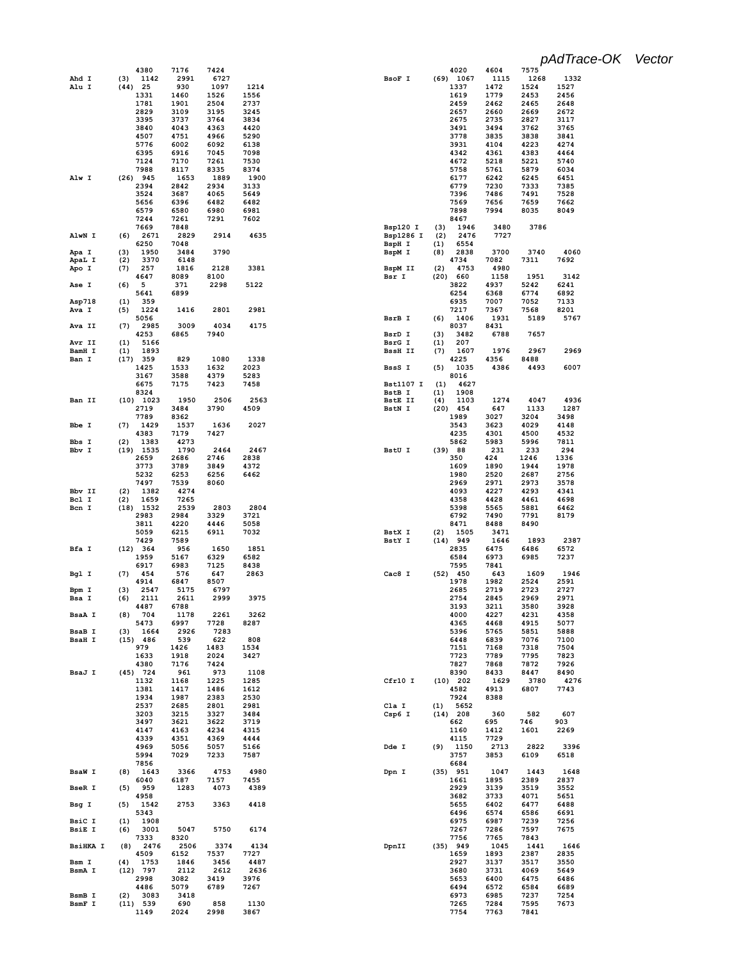|                 | 4380                       | 7176         | 7424         |              |                  | 4020                      | 4604         | 7575         |              |
|-----------------|----------------------------|--------------|--------------|--------------|------------------|---------------------------|--------------|--------------|--------------|
| Ahd I           | 1142<br>(3)                | 2991         | 6727         |              | BsoF I           | $(69)$ 1067               | 1115         | 1268         | 1332         |
| Alu I           | $(44)$ 25<br>1331          | 930<br>1460  | 1097<br>1526 | 1214<br>1556 |                  | 1337<br>1619              | 1472<br>1779 | 1524<br>2453 | 1527<br>2456 |
|                 | 1781                       | 1901         | 2504         | 2737         |                  | 2459                      | 2462         | 2465         | 2648         |
|                 | 2829                       | 3109         | 3195         | 3245         |                  | 2657                      | 2660         | 2669         | 2672         |
|                 | 3395                       | 3737         | 3764         | 3834         |                  | 2675                      | 2735         | 2827         | 3117         |
|                 | 3840                       | 4043         | 4363         | 4420         |                  | 3491                      | 3494         | 3762         | 3765         |
|                 | 4507                       | 4751         | 4966         | 5290         |                  | 3778                      | 3835         | 3838         | 3841         |
|                 | 5776<br>6395               | 6002<br>6916 | 6092<br>7045 | 6138<br>7098 |                  | 3931<br>4342              | 4104<br>4361 | 4223<br>4383 | 4274<br>4464 |
|                 | 7124                       | 7170         | 7261         | 7530         |                  | 4672                      | 5218         | 5221         | 5740         |
|                 | 7988                       | 8117         | 8335         | 8374         |                  | 5758                      | 5761         | 5879         | 6034         |
| Alw I           | $(26)$ 945                 | 1653         | 1889         | 1900         |                  | 6177                      | 6242         | 6245         | 6451         |
|                 | 2394                       | 2842         | 2934         | 3133         |                  | 6779                      | 7230         | 7333         | 7385         |
|                 | 3524                       | 3687         | 4065         | 5649         |                  | 7396                      | 7486         | 7491<br>7659 | 7528<br>7662 |
|                 | 5656<br>6579               | 6396<br>6580 | 6482<br>6980 | 6482<br>6981 |                  | 7569<br>7898              | 7656<br>7994 | 8035         | 8049         |
|                 | 7244                       | 7261         | 7291         | 7602         |                  | 8467                      |              |              |              |
|                 | 7669                       | 7848         |              |              | Bsp120 I         | (3)<br>1946               | 3480         | 3786         |              |
| AlwN I          | (6)<br>2671                | 2829         | 2914         | 4635         | Bsp1286 I        | (2)<br>2476               | 7727         |              |              |
|                 | 6250                       | 7048         |              |              | BspH I           | (1)<br>6554               |              |              |              |
| Apa I           | (3)<br>1950                | 3484         | 3790         |              | BspM I           | (8)<br>2838               | 3700         | 3740         | 4060         |
| ApaL I<br>Apo I | (2)<br>3370<br>(7)<br>257  | 6148<br>1816 | 2128         | 3381         | BspM II          | 4734<br>(2)<br>4753       | 7082<br>4980 | 7311         | 7692         |
|                 | 4647                       | 8089         | 8100         |              | Bsr I            | (20)<br>660               | 1158         | 1951         | 3142         |
| Ase I           | 5<br>(6)                   | 371          | 2298         | 5122         |                  | 3822                      | 4937         | 5242         | 6241         |
|                 | 5641                       | 6899         |              |              |                  | 6254                      | 6368         | 6774         | 6892         |
| Asp718          | 359<br>(1)                 |              |              |              |                  | 6935                      | 7007         | 7052         | 7133         |
| Ava I           | 1224<br>(5)                | 1416         | 2801         | 2981         |                  | 7217                      | 7367         | 7568         | 8201         |
| Ava II          | 5056<br>(7)<br>2985        | 3009         | 4034         | 4175         | BsrB I           | (6)<br>1406<br>8037       | 1931<br>8431 | 5189         | 5767         |
|                 | 4253                       | 6865         | 7940         |              | BsrD I           | 3482<br>(3)               | 6788         | 7657         |              |
| Avr II          | (1)<br>5166                |              |              |              | BsrG I           | 207<br>(1)                |              |              |              |
| BamH I          | 1893<br>(1)                |              |              |              | <b>BssH II</b>   | 1607<br>(7)               | 1976         | 2967         | 2969         |
| Ban I           | (17)<br>359                | 829          | 1080         | 1338         |                  | 4225                      | 4356         | 8488         |              |
|                 | 1425<br>3167               | 1533<br>3588 | 1632<br>4379 | 2023<br>5283 | BssS I           | (5)<br>1035<br>8016       | 4386         | 4493         | 6007         |
|                 | 6675                       | 7175         | 7423         | 7458         | <b>Bst1107 I</b> | (1)<br>4627               |              |              |              |
|                 | 8324                       |              |              |              | BstB I           | 1908<br>(1)               |              |              |              |
| Ban II          | 1023<br>(10)               | 1950         | 2506         | 2563         | <b>BstE II</b>   | (4)<br>1103               | 1274         | 4047         | 4936         |
|                 | 2719                       | 3484         | 3790         | 4509         | BstN I           | 454<br>(20)               | 647          | 1133         | 1287         |
|                 | 7789                       | 8362         |              |              |                  | 1989                      | 3027         | 3204         | 3498         |
| Bbe I           | (7)<br>1429<br>4383        | 1537<br>7179 | 1636<br>7427 | 2027         |                  | 3543<br>4235              | 3623<br>4301 | 4029<br>4500 | 4148<br>4532 |
| Bbs I           | 1383<br>(2)                | 4273         |              |              |                  | 5862                      | 5983         | 5996         | 7811         |
| Bbv I           | $(19)$ 1535                | 1790         | 2464         | 2467         | BstU I           | (39)<br>88                | 231          | 233          | 294          |
|                 | 2659                       | 2686         | 2746         | 2838         |                  | 350                       | 424          | 1246         | 1336         |
|                 | 3773                       | 3789         | 3849         | 4372         |                  | 1609                      | 1890         | 1944         | 1978         |
|                 | 5232                       | 6253         | 6256         | 6462         |                  | 1980                      | 2520         | 2687         | 2756         |
| Bbv II          | 7497<br>(2)<br>1382        | 7539<br>4274 | 8060         |              |                  | 2969<br>4093              | 2971<br>4227 | 2973<br>4293 | 3578<br>4341 |
| Bcl I           | 1659<br>(2)                | 7265         |              |              |                  | 4358                      | 4428         | 4461         | 4698         |
| Bcn I           | $(18)$ 1532                | 2539         | 2803         | 2804         |                  | 5398                      | 5565         | 5881         | 6462         |
|                 | 2983                       | 2984         | 3329         | 3721         |                  | 6792                      | 7490         | 7791         | 8179         |
|                 | 3811                       | 4220         | 4446         | 5058         |                  | 8471                      | 8488         | 8490         |              |
|                 | 5059<br>7429               | 6215<br>7589 | 6911         | 7032         | BstX I<br>BstY I | 1505<br>(2)<br>$(14)$ 949 | 3471<br>1646 | 1893         | 2387         |
| Bfa I           | (12) 364                   | 956          | 1650         | 1851         |                  | 2835                      | 6475         | 6486         | 6572         |
|                 | 1959                       | 5167         | 6329         | 6582         |                  | 6584                      | 6973         | 6985         | 7237         |
|                 | 6917                       | 6983         | 7125         | 8438         |                  | 7595                      | 7841         |              |              |
| Bgl I           | 454<br>(7)                 | 576          | 647          | 2863         | Cac8 I           | 450<br>(52)               | 643          | 1609         | 1946         |
|                 | 4914                       | 6847         | 8507         |              |                  | 1978                      | 1982         | 2524         | 2591         |
| Bpm I<br>Bsa I  | 2547<br>(3)<br>(6)<br>2111 | 5175<br>2611 | 6797         |              |                  | 2685                      | 2719         | 2723         | 2727<br>2971 |
|                 | 4487                       |              |              |              |                  |                           |              |              |              |
| <b>BsaA I</b>   |                            | 6788         | 2999         | 3975         |                  | 2754<br>3193              | 2845<br>3211 | 2969<br>3580 | 3928         |
|                 | (8)<br>704                 | 1178         | 2261         | 3262         |                  | 4000                      | 4227         | 4231         | 4358         |
| BsaB I          | 5473                       | 6997         | 7728         | 8287         |                  | 4365                      | 4468         | 4915         | 5077         |
|                 | 1664<br>(3)                | 2926         | 7283         |              |                  | 5396                      | 5765         | 5851         | 5888         |
| <b>BsaH I</b>   | $(15)$ 486                 | 539          | 622          | 808          |                  | 6448                      | 6839         | 7076         | 7100         |
|                 | 979<br>1633                | 1426<br>1918 | 1483<br>2024 | 1534<br>3427 |                  | 7151<br>7723              | 7168<br>7789 | 7318<br>7795 | 7504<br>7823 |
|                 | 4380                       | 7176         | 7424         |              |                  | 7827                      | 7868         | 7872         | 7926         |
| BsaJ I          | $(45)$ 724                 | 961          | 973          | 1108         |                  | 8390                      | 8433         | 8447         | 8490         |
|                 | 1132                       | 1168         | 1225         | 1285         | Cfr10 I          | $(10)$ 202                | 1629         | 3780         | 4276         |
|                 | 1381                       | 1417         | 1486         | 1612         |                  | 4582                      | 4913         | 6807         | 7743         |
|                 | 1934<br>2537               | 1987         | 2383<br>2801 | 2530<br>2981 | Cla I            | 7924<br>5652<br>(1)       | 8388         |              |              |
|                 | 3203                       | 2685<br>3215 | 3327         | 3484         | Csp6 I           | $(14)$ 208                | 360          | 582          | 607          |
|                 | 3497                       | 3621         | 3622         | 3719         |                  | 662                       | 695          | 746          | 903          |
|                 | 4147                       | 4163         | 4234         | 4315         |                  | 1160                      | 1412         | 1601         | 2269         |
|                 | 4339                       | 4351         | 4369         | 4444         |                  | 4115                      | 7729         |              |              |
|                 | 4969                       | 5056         | 5057         | 5166         | Dde I            | (9)<br>1150               | 2713         | 2822         | 3396         |
|                 | 5994<br>7856               | 7029         | 7233         | 7587         |                  | 3757<br>6684              | 3853         | 6109         | 6518         |
| <b>BsaW I</b>   | (8)<br>1643                | 3366         | 4753         | 4980         | Dpn I            | $(35)$ 951                | 1047         | 1443         | 1648         |
|                 | 6040                       | 6187         | 7157         | 7455         |                  | 1661                      | 1895         | 2389         | 2837         |
| <b>BseR I</b>   | 959<br>(5)                 | 1283         | 4073         | 4389         |                  | 2929                      | 3139         | 3519         | 3552         |
|                 | 4958                       |              |              |              |                  | 3682                      | 3733         | 4071         | 5651         |
| Bsg I           | 1542<br>(5)                | 2753         | 3363         | 4418         |                  | 5655<br>6496              | 6402<br>6574 | 6477<br>6586 | 6488<br>6691 |
| BsiC I          | 5343<br>(1)<br>1908        |              |              |              |                  | 6975                      | 6987         | 7239         | 7256         |
| <b>BsiE I</b>   | 3001<br>(6)                | 5047         | 5750         | 6174         |                  | 7267                      | 7286         | 7597         | 7675         |
|                 | 7333                       | 8320         |              |              |                  | 7756                      | 7765         | 7843         |              |
| <b>BsiHKA I</b> | 2476<br>(8)                | 2506         | 3374         | 4134         | DpnII            | $(35)$ 949                | 1045         | 1441         | 1646         |
| Bsm I           | 4509<br>1753               | 6152         | 7537         | 7727<br>4487 |                  | 1659<br>2927              | 1893         | 2387         | 2835         |
| BsmA I          | (4)<br>$(12)$ 797          | 1846<br>2112 | 3456<br>2612 | 2636         |                  | 3680                      | 3137<br>3731 | 3517<br>4069 | 3550<br>5649 |
|                 | 2998                       | 3082         | 3419         | 3976         |                  | 5653                      | 6400         | 6475         | 6486         |
|                 | 4486                       | 5079         | 6789         | 7267         |                  | 6494                      | 6572         | 6584         | 6689         |
| BsmB I          | (2)<br>3083                | 3418         |              |              |                  | 6973                      | 6985         | 7237         | 7254         |
| BsmF I          | $(11)$ 539<br>1149         | 690<br>2024  | 858<br>2998  | 1130<br>3867 |                  | 7265<br>7754              | 7284<br>7763 | 7595<br>7841 | 7673         |

*pAdTrace-OK Vector*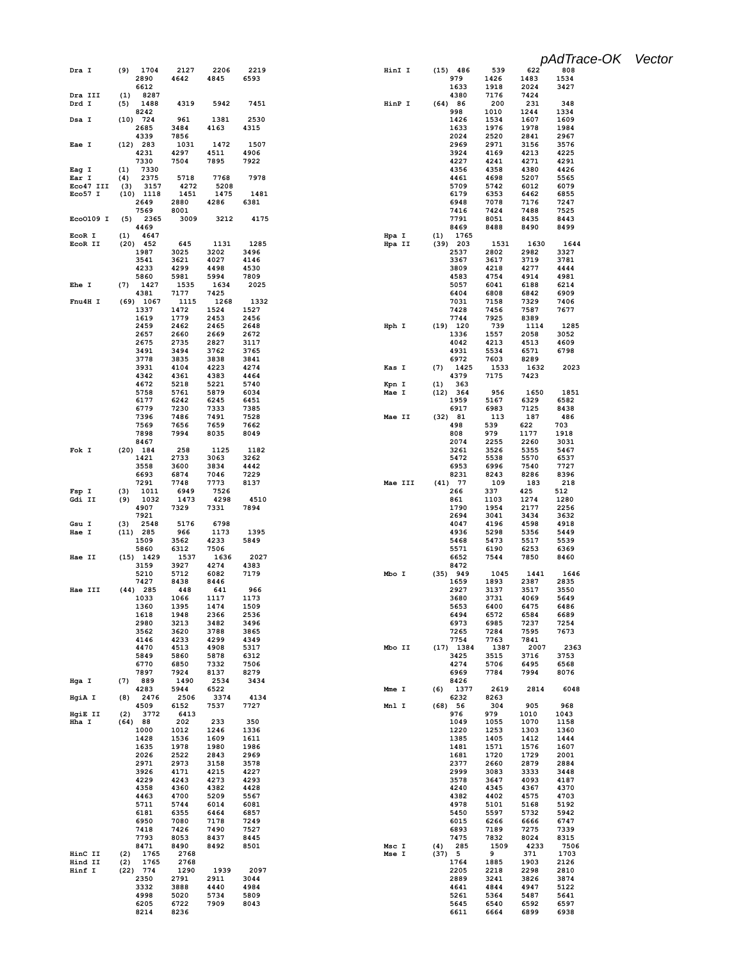|                   |                            |              |              |              |                 |                           |              |              | pAdTrace-OK Vector |  |
|-------------------|----------------------------|--------------|--------------|--------------|-----------------|---------------------------|--------------|--------------|--------------------|--|
| Dra I             | 1704<br>(9)<br>2890        | 2127<br>4642 | 2206<br>4845 | 2219<br>6593 | HinI I          | $(15)$ 486<br>979         | 539<br>1426  | 622<br>1483  | 808<br>1534        |  |
| Dra III           | 6612<br>8287<br>(1)        |              |              |              |                 | 1633<br>4380              | 1918<br>7176 | 2024<br>7424 | 3427               |  |
| Drd I             | 1488<br>(5)<br>8242        | 4319         | 5942         | 7451         | HinP I          | (64) 86<br>998            | 200<br>1010  | 231<br>1244  | 348<br>1334        |  |
| Dsa I             | $(10)$ 724                 | 961          | 1381         | 2530         |                 | 1426                      | 1534         | 1607         | 1609               |  |
|                   | 2685<br>4339               | 3484<br>7856 | 4163         | 4315         |                 | 1633<br>2024              | 1976<br>2520 | 1978<br>2841 | 1984<br>2967       |  |
| Eae I             | $(12)$ 283<br>4231         | 1031<br>4297 | 1472         | 1507<br>4906 |                 | 2969<br>3924              | 2971<br>4169 | 3156<br>4213 | 3576<br>4225       |  |
|                   | 7330                       | 7504         | 4511<br>7895 | 7922         |                 | 4227                      | 4241         | 4271         | 4291               |  |
| Eag I<br>Ear I    | 7330<br>(1)<br>(4)<br>2375 | 5718         | 7768         | 7978         |                 | 4356<br>4461              | 4358<br>4698 | 4380<br>5207 | 4426<br>5565       |  |
| Eco47 III         | 3157<br>(3)                | 4272         | 5208         |              |                 | 5709                      | 5742         | 6012         | 6079               |  |
| Eco57 I           | $(10)$ 1118<br>2649        | 1451<br>2880 | 1475<br>4286 | 1481<br>6381 |                 | 6179<br>6948              | 6353<br>7078 | 6462<br>7176 | 6855<br>7247       |  |
| Eco0109 I         | 7569<br>(5)<br>2365        | 8001<br>3009 | 3212         | 4175         |                 | 7416<br>7791              | 7424<br>8051 | 7488<br>8435 | 7525<br>8443       |  |
|                   | 4469                       |              |              |              |                 | 8469                      | 8488         | 8490         | 8499               |  |
| EcoR I<br>EcoR II | (1)<br>4647<br>$(20)$ 452  | 645          | 1131         | 1285         | Hpa I<br>Hpa II | 1765<br>(1)<br>$(39)$ 203 | 1531         | 1630         | 1644               |  |
|                   | 1987<br>3541               | 3025<br>3621 | 3202<br>4027 | 3496<br>4146 |                 | 2537<br>3367              | 2802<br>3617 | 2982<br>3719 | 3327<br>3781       |  |
|                   | 4233                       | 4299         | 4498         | 4530         |                 | 3809                      | 4218         | 4277         | 4444               |  |
| Ehe I             | 5860<br>(7)<br>1427        | 5981<br>1535 | 5994<br>1634 | 7809<br>2025 |                 | 4583<br>5057              | 4754<br>6041 | 4914<br>6188 | 4981<br>6214       |  |
| Fnu4H I           | 4381<br>$(69)$ 1067        | 7177<br>1115 | 7425<br>1268 | 1332         |                 | 6404<br>7031              | 6808<br>7158 | 6842<br>7329 | 6909<br>7406       |  |
|                   | 1337                       | 1472         | 1524         | 1527         |                 | 7428                      | 7456         | 7587         | 7677               |  |
|                   | 1619<br>2459               | 1779<br>2462 | 2453<br>2465 | 2456<br>2648 | Hph I           | 7744<br>$(19)$ 120        | 7925<br>739  | 8389<br>1114 | 1285               |  |
|                   | 2657                       | 2660         | 2669         | 2672         |                 | 1336                      | 1557         | 2058         | 3052               |  |
|                   | 2675<br>3491               | 2735<br>3494 | 2827<br>3762 | 3117<br>3765 |                 | 4042<br>4931              | 4213<br>5534 | 4513<br>6571 | 4609<br>6798       |  |
|                   | 3778<br>3931               | 3835<br>4104 | 3838<br>4223 | 3841<br>4274 | Kas I           | 6972<br>1425<br>(7)       | 7603<br>1533 | 8289<br>1632 | 2023               |  |
|                   | 4342                       | 4361         | 4383         | 4464         |                 | 4379                      | 7175         | 7423         |                    |  |
|                   | 4672<br>5758               | 5218<br>5761 | 5221<br>5879 | 5740<br>6034 | Kpn I<br>Mae I  | (1)<br>363<br>(12) 364    | 956          | 1650         | 1851               |  |
|                   | 6177<br>6779               | 6242<br>7230 | 6245<br>7333 | 6451<br>7385 |                 | 1959<br>6917              | 5167<br>6983 | 6329<br>7125 | 6582<br>8438       |  |
|                   | 7396                       | 7486         | 7491         | 7528         | Mae II          | (32) 81                   | 113          | 187          | 486                |  |
|                   | 7569<br>7898               | 7656<br>7994 | 7659<br>8035 | 7662<br>8049 |                 | 498<br>808                | 539<br>979   | 622<br>1177  | 703<br>1918        |  |
|                   | 8467                       |              |              |              |                 | 2074                      | 2255         | 2260         | 3031               |  |
| Fok I             | $(20)$ 184<br>1421         | 258<br>2733  | 1125<br>3063 | 1182<br>3262 |                 | 3261<br>5472              | 3526<br>5538 | 5355<br>5570 | 5467<br>6537       |  |
|                   | 3558<br>6693               | 3600<br>6874 | 3834<br>7046 | 4442<br>7229 |                 | 6953<br>8231              | 6996<br>8243 | 7540<br>8286 | 7727<br>8396       |  |
|                   | 7291                       | 7748         | 7773         | 8137         | Mae III         | $(41)$ 77                 | 109          | 183          | 218                |  |
| Fsp I<br>Gdi II   | 1011<br>(3)<br>1032<br>(9) | 6949<br>1473 | 7526<br>4298 | 4510         |                 | 266<br>861                | 337<br>1103  | 425<br>1274  | 512<br>1280        |  |
|                   | 4907<br>7921               | 7329         | 7331         | 7894         |                 | 1790<br>2694              | 1954<br>3041 | 2177<br>3434 | 2256<br>3632       |  |
| Gsu I             | 2548<br>(3)                | 5176         | 6798         |              |                 | 4047                      | 4196         | 4598         | 4918               |  |
| Hae I             | $(11)$ 285<br>1509         | 966<br>3562  | 1173<br>4233 | 1395<br>5849 |                 | 4936<br>5468              | 5298<br>5473 | 5356<br>5517 | 5449<br>5539       |  |
| Hae II            | 5860<br>$(15)$ 1429        | 6312<br>1537 | 7506<br>1636 | 2027         |                 | 5571<br>6652              | 6190<br>7544 | 6253<br>7850 | 6369<br>8460       |  |
|                   | 3159                       | 3927         | 4274         | 4383         |                 | 8472                      |              |              |                    |  |
|                   | 5210<br>7427               | 5712<br>8438 | 6082<br>8446 | 7179         | Mbo I           | $(35)$ 949<br>1659        | 1045<br>1893 | 1441<br>2387 | 1646<br>2835       |  |
| Hae III           | $(44)$ 285                 | 448          | 641          | 966          |                 | 2927                      | 3137         | 3517         | 3550               |  |
|                   | 1033<br>1360               | 1066<br>1395 | 1117<br>1474 | 1173<br>1509 |                 | 3680<br>5653              | 3731<br>6400 | 4069<br>6475 | 5649<br>6486       |  |
|                   | 1618<br>2980               | 1948<br>3213 | 2366<br>3482 | 2536<br>3496 |                 | 6494<br>6973              | 6572<br>6985 | 6584<br>7237 | 6689<br>7254       |  |
|                   | 3562                       | 3620         | 3788         | 3865         |                 | 7265                      | 7284         | 7595         | 7673               |  |
|                   | 4146<br>4470               | 4233<br>4513 | 4299<br>4908 | 4349<br>5317 | Mbo II          | 7754<br>$(17)$ 1384       | 7763<br>1387 | 7841<br>2007 | 2363               |  |
|                   | 5849<br>6770               | 5860<br>6850 | 5878<br>7332 | 6312<br>7506 |                 | 3425<br>4274              | 3515<br>5706 | 3716<br>6495 | 3753<br>6568       |  |
|                   | 7897                       | 7924         | 8137         | 8279         |                 | 6969                      | 7784         | 7994         | 8076               |  |
| Hga I             | 889<br>(7)<br>4283         | 1490<br>5944 | 2534<br>6522 | 3434         | Mme I           | 8426<br>1377<br>(6)       | 2619         | 2814         | 6048               |  |
| HgiA I            | (8)<br>2476<br>4509        | 2506<br>6152 | 3374<br>7537 | 4134<br>7727 | Mnl I           | 6232<br>(68) 56           | 8263<br>304  | 905          | 968                |  |
| HgiE II           | 3772<br>(2)                | 6413         |              |              |                 | 976                       | 979          | 1010         | 1043               |  |
| Hha I             | (64) 88<br>1000            | 202<br>1012  | 233<br>1246  | 350<br>1336  |                 | 1049<br>1220              | 1055<br>1253 | 1070<br>1303 | 1158<br>1360       |  |
|                   | 1428<br>1635               | 1536<br>1978 | 1609<br>1980 | 1611<br>1986 |                 | 1385<br>1481              | 1405<br>1571 | 1412<br>1576 | 1444<br>1607       |  |
|                   | 2026                       | 2522         | 2843         | 2969         |                 | 1681                      | 1720         | 1729         | 2001               |  |
|                   | 2971<br>3926               | 2973<br>4171 | 3158<br>4215 | 3578<br>4227 |                 | 2377<br>2999              | 2660<br>3083 | 2879<br>3333 | 2884<br>3448       |  |
|                   | 4229                       | 4243         | 4273         | 4293         |                 | 3578                      | 3647         | 4093         | 4187               |  |
|                   | 4358<br>4463               | 4360<br>4700 | 4382<br>5209 | 4428<br>5567 |                 | 4240<br>4382              | 4345<br>4402 | 4367<br>4575 | 4370<br>4703       |  |
|                   | 5711<br>6181               | 5744<br>6355 | 6014<br>6464 | 6081<br>6857 |                 | 4978<br>5450              | 5101<br>5597 | 5168<br>5732 | 5192<br>5942       |  |
|                   | 6950                       | 7080         | 7178         | 7249         |                 | 6015                      | 6266         | 6666         | 6747               |  |
|                   | 7418<br>7793               | 7426<br>8053 | 7490<br>8437 | 7527<br>8445 |                 | 6893<br>7475              | 7189<br>7832 | 7275<br>8024 | 7339<br>8315       |  |
| HinC II           | 8471<br>1765<br>(2)        | 8490<br>2768 | 8492         | 8501         | Msc I<br>Mse I  | (4)<br>285<br>(37) 5      | 1509<br>9    | 4233<br>371  | 7506<br>1703       |  |
| Hind II           | 1765<br>(2)                | 2768         |              |              |                 | 1764                      | 1885         | 1903         | 2126               |  |
| Hinf I            | $(22)$ 774<br>2350         | 1290<br>2791 | 1939<br>2911 | 2097<br>3044 |                 | 2205<br>2889              | 2218<br>3241 | 2298<br>3826 | 2810<br>3874       |  |
|                   | 3332<br>4998               | 3888<br>5020 | 4440<br>5734 | 4984<br>5809 |                 | 4641<br>5261              | 4844<br>5364 | 4947<br>5487 | 5122<br>5641       |  |
|                   | 6205                       | 6722         | 7909         | 8043         |                 | 5645                      | 6540         | 6592         | 6597               |  |
|                   | 8214                       | 8236         |              |              |                 | 6611                      | 6664         | 6899         | 6938               |  |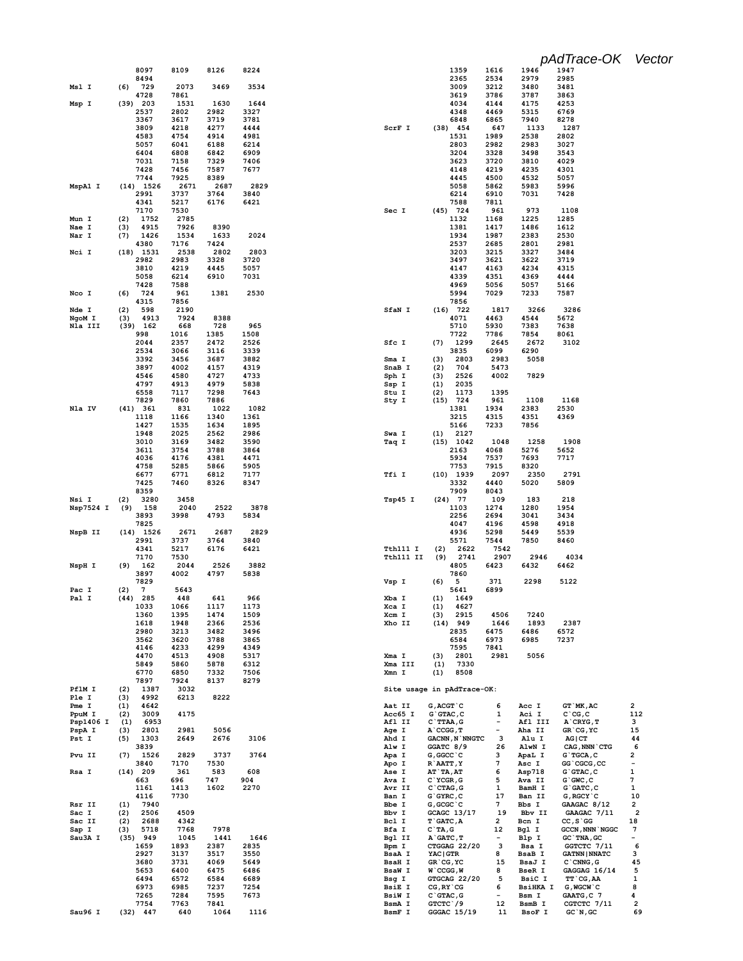|                 | 8097                       | 8109         | 8126         | 8224         | 1359<br>1616<br>1946<br>1947                                                                                              |                               |
|-----------------|----------------------------|--------------|--------------|--------------|---------------------------------------------------------------------------------------------------------------------------|-------------------------------|
| Msl I           | 8494<br>(6)<br>729         | 2073         | 3469         | 3534         | 2365<br>2534<br>2979<br>2985<br>3009<br>3480<br>3212<br>3481                                                              |                               |
|                 | 4728                       | 7861         |              |              | 3619<br>3786<br>3787<br>3863                                                                                              |                               |
| Msp I           | 203<br>(39)                | 1531         | 1630         | 1644         | 4034<br>4144<br>4175<br>4253                                                                                              |                               |
|                 | 2537                       | 2802         | 2982         | 3327         | 4348<br>5315<br>6769<br>4469                                                                                              |                               |
|                 | 3367                       | 3617         | 3719         | 3781         | 6848<br>6865<br>7940<br>8278                                                                                              |                               |
|                 | 3809                       | 4218         | 4277         | 4444         | ScrF I<br>$(38)$ 454<br>647<br>1133<br>1287                                                                               |                               |
|                 | 4583                       | 4754         | 4914         | 4981         | 1531<br>1989<br>2538<br>2802                                                                                              |                               |
|                 | 5057                       | 6041<br>6808 | 6188<br>6842 | 6214<br>6909 | 2803<br>2982<br>2983<br>3027<br>3204<br>3328<br>3498<br>3543                                                              |                               |
|                 | 6404<br>7031               | 7158         | 7329         | 7406         | 3623<br>3720<br>3810<br>4029                                                                                              |                               |
|                 | 7428                       | 7456         | 7587         | 7677         | 4148<br>4219<br>4235<br>4301                                                                                              |                               |
|                 | 7744                       | 7925         | 8389         |              | 5057<br>4445<br>4500<br>4532                                                                                              |                               |
| MspA1 I         | $(14)$ 1526                | 2671         | 2687         | 2829         | 5058<br>5862<br>5983<br>5996                                                                                              |                               |
|                 | 2991                       | 3737         | 3764         | 3840         | 7031<br>7428<br>6214<br>6910                                                                                              |                               |
|                 | 4341                       | 5217         | 6176         | 6421         | 7588<br>7811                                                                                                              |                               |
|                 | 7170                       | 7530         |              |              | 973<br>1108<br>Sec I<br>$(45)$ 724<br>961                                                                                 |                               |
| Mun I           | 1752<br>(2)                | 2785         |              |              | 1132<br>1168<br>1225<br>1285<br>1381<br>1417<br>1486                                                                      |                               |
| Nae I<br>Nar I  | 4915<br>(3)<br>1426<br>(7) | 7926<br>1534 | 8390<br>1633 | 2024         | 1612<br>1934<br>1987<br>2383<br>2530                                                                                      |                               |
|                 | 4380                       | 7176         | 7424         |              | 2537<br>2685<br>2801<br>2981                                                                                              |                               |
| Nci I           | $(18)$ 1531                | 2538         | 2802         | 2803         | 3203<br>3215<br>3327<br>3484                                                                                              |                               |
|                 | 2982                       | 2983         | 3328         | 3720         | 3497<br>3621<br>3622<br>3719                                                                                              |                               |
|                 | 3810                       | 4219         | 4445         | 5057         | 4147<br>4163<br>4234<br>4315                                                                                              |                               |
|                 | 5058                       | 6214         | 6910         | 7031         | 4339<br>4369<br>4351<br>4444                                                                                              |                               |
|                 | 7428                       | 7588         |              |              | 4969<br>5056<br>5057<br>5166                                                                                              |                               |
| Nco I           | 724<br>(6)<br>4315         | 961<br>7856  | 1381         | 2530         | 5994<br>7029<br>7233<br>7587<br>7856                                                                                      |                               |
| Nde I           | (2)<br>598                 | 2190         |              |              | SfaN I<br>$(16)$ 722<br>1817<br>3266<br>3286                                                                              |                               |
| NgoM I          | (3)<br>4913                | 7924         | 8388         |              | 4071<br>4544<br>5672<br>4463                                                                                              |                               |
| Nla III         | $(39)$ 162                 | 668          | 728          | 965          | 7383<br>5710<br>5930<br>7638                                                                                              |                               |
|                 | 998                        | 1016         | 1385         | 1508         | 7722<br>7786<br>7854<br>8061                                                                                              |                               |
|                 | 2044                       | 2357         | 2472         | 2526         | 1299<br>Sfc I<br>(7)<br>2645<br>2672<br>3102                                                                              |                               |
|                 | 2534                       | 3066         | 3116         | 3339         | 3835<br>6099<br>6290                                                                                                      |                               |
|                 | 3392                       | 3456         | 3687         | 3882         | 2803<br>2983<br>5058<br>Sma I<br>(3)                                                                                      |                               |
|                 | 3897<br>4546               | 4002<br>4580 | 4157<br>4727 | 4319<br>4733 | SnaB I<br>704<br>5473<br>(2)<br>2526<br>4002<br>7829<br>Sph I<br>(3)                                                      |                               |
|                 | 4797                       | 4913         | 4979         | 5838         | 2035<br>Ssp I<br>(1)                                                                                                      |                               |
|                 | 6558                       | 7117         | 7298         | 7643         | 1173<br>1395<br>Stu I<br>(2)                                                                                              |                               |
|                 | 7829                       | 7860         | 7886         |              | (15)<br>724<br>961<br>1108<br>1168<br>Sty I                                                                               |                               |
| Nla IV          | (41) 361                   | 831          | 1022         | 1082         | 2530<br>1381<br>1934<br>2383                                                                                              |                               |
|                 | 1118                       | 1166         | 1340         | 1361         | 3215<br>4315<br>4351<br>4369                                                                                              |                               |
|                 | 1427                       | 1535         | 1634         | 1895         | 7233<br>7856<br>5166                                                                                                      |                               |
|                 | 1948<br>3010               | 2025         | 2562         | 2986<br>3590 | Swa I<br>2127<br>(1)<br>$(15)$ 1042<br>1048<br>1258                                                                       |                               |
|                 | 3611                       | 3169<br>3754 | 3482<br>3788 | 3864         | Taq I<br>1908<br>2163<br>4068<br>5276<br>5652                                                                             |                               |
|                 | 4036                       | 4176         | 4381         | 4471         | 7693<br>7717<br>5934<br>7537                                                                                              |                               |
|                 | 4758                       | 5285         | 5866         | 5905         | 7753<br>7915<br>8320                                                                                                      |                               |
|                 | 6677                       | 6771         | 6812         | 7177         | $(10)$ 1939<br>2097<br>2350<br>2791<br>Tfi I                                                                              |                               |
|                 |                            |              |              |              |                                                                                                                           |                               |
|                 | 7425                       | 7460         | 8326         | 8347         | 3332<br>5020<br>5809<br>4440                                                                                              |                               |
|                 | 8359                       |              |              |              | 7909<br>8043                                                                                                              |                               |
| Nsi I           | 3280<br>(2)                | 3458         |              |              | Tsp45 I<br>$(24)$ 77<br>109<br>183<br>218                                                                                 |                               |
| Nsp7524 I       | (9)<br>158                 | 2040         | 2522         | 3878         | 1103<br>1274<br>1280<br>1954                                                                                              |                               |
|                 | 3893                       | 3998         | 4793         | 5834         | 3041<br>2256<br>2694<br>3434                                                                                              |                               |
| NspB II         | 7825<br>$(14)$ 1526        | 2671         | 2687         | 2829         | 4047<br>4196<br>4598<br>4918<br>4936<br>5298<br>5449<br>5539                                                              |                               |
|                 | 2991                       | 3737         | 3764         | 3840         | 5571<br>7544<br>7850<br>8460                                                                                              |                               |
|                 | 4341                       | 5217         | 6176         | 6421         | 2622<br>7542<br>Tth111 I<br>(2)                                                                                           |                               |
|                 | 7170                       | 7530         |              |              | Tth111 II<br>(9)<br>2741<br>2907<br>2946<br>4034                                                                          |                               |
| NspH I          | (9)<br>162                 | 2044         | 2526         | 3882         | 4805<br>6423<br>6432<br>6462                                                                                              |                               |
|                 | 3897                       | 4002         | 4797         | 5838         | 7860                                                                                                                      |                               |
| Pac I           | 7829<br>7                  | 5643         |              |              | 2298<br>5122<br>Vsp I<br>(6)<br>5<br>371<br>6899                                                                          |                               |
| Pal I           | (2)<br>$(44)$ 285          | 448          | 641          | 966          | 5641<br>Xba I<br>1649<br>(1)                                                                                              |                               |
|                 | 1033                       | 1066         | 1117         | 1173         | Xca I<br>(1)<br>4627                                                                                                      |                               |
|                 | 1360                       | 1395         | 1474         | 1509         | Xcm I<br>(3)<br>2915<br>4506<br>7240                                                                                      |                               |
|                 | 1618                       | 1948         | 2366         | 2536         | 2387<br>Xho II<br>$(14)$ 949<br>1646<br>1893                                                                              |                               |
|                 | 2980                       | 3213         | 3482         | 3496         | 2835<br>6475<br>6486<br>6572                                                                                              |                               |
|                 | 3562<br>4146               | 3620<br>4233 | 3788<br>4299 | 3865<br>4349 | 6985<br>6584<br>6973<br>7237<br>7595<br>7841                                                                              |                               |
|                 | 4470                       | 4513         | 4908         | 5317         | (3)<br>2801<br>2981<br>5056<br>Xma I                                                                                      |                               |
|                 | 5849                       | 5860         | 5878         | 6312         | Xma III<br>7330<br>(1)                                                                                                    |                               |
|                 | 6770                       | 6850         | 7332         | 7506         | Xmn I<br>(1)<br>8508                                                                                                      |                               |
|                 | 7897                       | 7924         | 8137         | 8279         |                                                                                                                           |                               |
| PflM I          | 1387<br>(2)                | 3032         |              |              | Site usage in pAdTrace-OK:                                                                                                |                               |
| Ple I           | (3)<br>4992                | 6213         | 8222         |              |                                                                                                                           |                               |
| Pme I<br>PpuM I | 4642<br>(1)<br>3009<br>(2) | 4175         |              |              | 6<br>GT `MK, AC<br>Aat II<br>$G$ , $ACGT$ $C$<br>Acc I<br>$G$ $G$ TAC, $C$<br>Aci I<br>$C^{\dagger}CG, C$<br>Acc65 I<br>1 | 2<br>112                      |
| Psp1406 I       | (1)<br>6953                |              |              |              | Afl II<br>$C$ `TTAA, G<br>$\overline{\phantom{a}}$<br>Afl III<br>$A$ $CRYG$ , $T$                                         | з                             |
| PspA I          | 2801<br>(3)                | 2981         | 5056         |              | Aha II<br>GR`CG, YC<br>Age I<br>$A$ $CCGG, T$<br>$\overline{\phantom{a}}$                                                 | 15                            |
| Pst I           | (5)<br>1303                | 2649         | 2676         | 3106         | з<br>Ahd I<br><b>GACNN, N`NNGTC</b><br>Alu I<br>$AG$ $ CT$                                                                | 44                            |
|                 | 3839                       |              |              |              | Alw I<br>GGATC 8/9<br>26<br>AlwN I<br>CAG, NNN `CTG                                                                       | 6                             |
| Pvu II          | (7)<br>1526                | 2829         | 3737         | 3764         | G, GGCC `C<br>з<br>ApaL I<br>G`TGCA, C<br>Apa I                                                                           | 2<br>$\overline{\phantom{a}}$ |
| Rsa I           | 3840<br>$(14)$ 209         | 7170<br>361  | 7530<br>583  | 608          | 7<br>Apo I<br>R`AATT, Y<br>Asc I<br>GG`CGCG, CC<br>AT `TA, AT<br>$G$ $G$ TAC, $C$<br><b>Ase I</b><br>6<br>Asp718          | $\mathbf{1}$                  |
|                 | 663                        | 696          | 747          | 904          | 5<br>Ava I<br>C'YCGR, G<br>Ava II<br>$G$ $GWC$ , $C$                                                                      | 7                             |
|                 | 1161                       | 1413         | 1602         | 2270         | Avr II<br>$C$ $CTAG$ , $G$<br>$\mathbf{1}$<br>BamH I<br>$G$ $GATC$ , $C$                                                  | 1                             |
|                 | 4116                       | 7730         |              |              | Ban I<br>17<br>$G$ $GYRC$ , $C$<br>Ban II<br>G, RGCY `C                                                                   | 10                            |
| Rsr II          | (1)<br>7940                |              |              |              | Bbe I<br>G, GCGC`C<br>7<br>Bbs I<br>GAAGAC 8/12                                                                           | 2                             |
| Sac I           | (2)<br>2506                | 4509         |              |              | Bbv I<br>GCAGC 13/17<br>19<br>Bbv II<br>GAAGAC 7/11                                                                       | $\overline{\mathbf{c}}$       |
| Sac II          | 2688<br>(2)                | 4342         |              |              | Bcl I<br><b>T`GATC, A</b><br>2<br>Bcn I<br>$CC, S \ G G$                                                                  | 18                            |
| Sap I           | (3)<br>5718                | 7768         | 7978         |              | 12<br>Bfa I<br>$C^T A, G$<br>Bgl I<br><b>GCCN, NNN `NGGC</b><br>$\overline{\phantom{a}}$                                  | 7<br>$\qquad \qquad -$        |
| Sau3A I         | $(35)$ 949<br>1659         | 1045<br>1893 | 1441<br>2387 | 1646<br>2835 | Bgl II<br>Blp I<br>GC `TNA, GC<br>A`GATC, T<br>3<br>Bpm I<br>CTGGAG 22/20<br>Bsa I<br>GGTCTC 7/11                         | 6                             |
|                 | 2927                       | 3137         | 3517         | 3550         | 8<br>BsaA I<br><b>YAC   GTR</b><br><b>BsaB</b> I<br><b>GATNN   NNATC</b>                                                  | з                             |
|                 | 3680                       | 3731         | 4069         | 5649         | <b>BsaH I</b><br>GR`CG, YC<br>15<br>BsaJ I<br>$C$ $CMNG$ , $G$                                                            | 45                            |
|                 | 5653                       | 6400         | 6475         | 6486         | <b>BseR I</b><br><b>BsaW I</b><br>W`CCGG,W<br>8<br>GAGGAG 16/14                                                           | 5                             |
|                 | 6494                       | 6572         | 6584         | 6689         | Bsg I<br>GTGCAG 22/20<br>5<br>BsiC I<br>TT CG, AA                                                                         | 1                             |
|                 | 6973                       | 6985         | 7237         | 7254         | <b>BsiE I</b><br>$CG, RY$ $CG$<br>6<br><b>BsiHKA I</b><br>G, WGCW `C<br>$\overline{\phantom{a}}$                          | 8                             |
|                 | 7265                       | 7284         | 7595         | 7673         | <b>BsiW I</b><br>$C$ $G$ TAC, G<br>Bsm I<br>GAATG, C 7                                                                    | 4                             |
| Sau96 I         | 7754<br>$(32)$ 447         | 7763<br>640  | 7841<br>1064 | 1116         | GTCTC \/9<br>12<br>BsmA I<br>BsmB I<br>CGTCTC 7/11<br>BsmF I<br>GGGAC 15/19<br>BsoF I<br>$GC^N$ , $GC$<br>11              | $\overline{\mathbf{2}}$<br>69 |

*pAdTrace-OK Vector*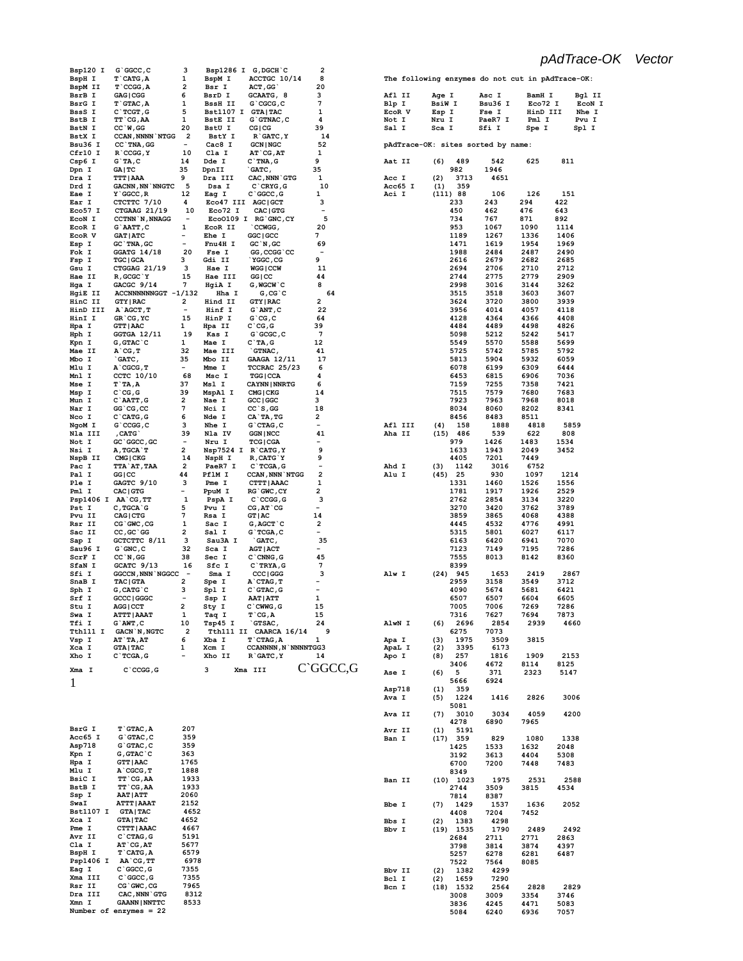| Bsp120 I           | $G$ $GGCC$ , $C$           | з                        |                   | Bsp1286 I G, DGCH C        | 2                        |         |                                               |         |          |                           |
|--------------------|----------------------------|--------------------------|-------------------|----------------------------|--------------------------|---------|-----------------------------------------------|---------|----------|---------------------------|
| BspH I             | $T$ $CATG, A$              | 1                        | BspM I            | ACCTGC 10/14               | 8                        |         | The following enzymes do not cut in pAdTrace- |         |          |                           |
| BspM II            | $T$ $CCGG, A$              | 2                        | Bsr I             | ACT, GG                    | 20                       |         |                                               |         |          |                           |
| BsrB I             | GAG   CGG                  | 6                        | BsrD I            | GCAATG, 8                  | з                        | Afl II  | Age I                                         | Asc I   | BamH I   | B                         |
|                    | T GTAC, A                  |                          |                   |                            | 7                        |         |                                               |         |          |                           |
| BsrG I             |                            | 1                        | <b>BssH II</b>    | $G$ $CGCG, C$              |                          | Blp I   | <b>BsiW I</b>                                 | Bsu36 I | Eco72 I  | F                         |
| BssS I             | $C$ TCGT, G                | 5                        | Bst1107 I GTA TAC |                            | 1                        | EcoR V  | Esp I                                         | Fse I   | HinD III | N                         |
| BstB I             | $TT$ $CG$ , AA             | 1                        | <b>BstE II</b>    | $G$ GTNAC, $C$             | 4                        | Not I   | Nru I                                         | PaeR7 I | Pml I    | P                         |
| <b>BstN I</b>      | $CC^W$ , GG                | 20                       | BstU I            | CG   CG                    | 39                       | Sal I   | Sca I                                         | Sfi I   | Spe I    | $\mathtt{s}_{\mathtt{F}}$ |
| BstX I             | <b>CCAN, NNNN NTGG</b>     | - 2                      | BstY I            | R GATC, Y                  | 14                       |         |                                               |         |          |                           |
|                    |                            |                          |                   |                            |                          |         |                                               |         |          |                           |
| Bsu36 I            | CC `TNA, GG                | $\overline{\phantom{a}}$ | Cac8 I            | <b>GCN   NGC</b>           | 52                       |         | pAdTrace-OK: sites sorted by name:            |         |          |                           |
| Cfr10 I            | $R$ $CCGG, Y$              | 10                       | Cla I             | $AT$ $CG, AT$              | 1                        |         |                                               |         |          |                           |
| Csp6 I             | G'TA,C                     | 14                       | Dde I             | $C$ TNA, $G$               | 9                        | Aat II  | 489<br>(6)                                    | 542     | 625      | 811                       |
| Dpn I              | GA   TC                    | 35                       | DpnII             | `GATC,                     | 35                       |         | 982                                           | 1946    |          |                           |
| Dra I              | <b>TTT   AAA</b>           | 9                        | Dra III           | CAC, NNN GTG               | 1                        | Acc I   | (2)<br>3713                                   | 4651    |          |                           |
|                    |                            |                          |                   |                            |                          |         |                                               |         |          |                           |
| Drd I              | <b>GACNN, NN `NNGTC</b>    | - 5                      | Dsa I             | $C$ $CRYG$ , $G$           | 10                       | Acc65 I | (1)<br>359                                    |         |          |                           |
| Eae I              | $Y$ $GCCC, R$              | 12                       | Eag I             | $C$ $GC$ , $G$             | 1                        | Aci I   | (111) 88                                      | 106     | 126      | 151                       |
| Ear I              | CTCTTC 7/10                | 4                        |                   | Eco47 III AGC GCT          | з                        |         | 233                                           | 243     | 294      | 422                       |
| Eco57 <sub>I</sub> | CTGAAG 21/19               | 10                       | Eco72 I           | CAC   GTG                  | $\qquad \qquad$          |         | 450                                           | 462     | 476      | 643                       |
| EcoN I             | <b>CCTNN `N, NNAGG</b>     | $\overline{\phantom{a}}$ |                   | Eco0109 I RG GNC, CY       | 5                        |         | 734                                           | 767     | 871      | 892                       |
|                    |                            |                          |                   |                            |                          |         |                                               |         |          |                           |
| EcoR I             | G`AATT, C                  | 1                        | ECOR II           | CCWGG,                     | 20                       |         | 953                                           | 1067    | 1090     | 1114                      |
| EcoR V             | <b>GAT   ATC</b>           | Ξ.                       | Ehe I             | GGC   GCC                  | 7                        |         | 1189                                          | 1267    | 1336     | 1406                      |
| Esp I              | GC TNA, GC                 | $\overline{\phantom{a}}$ | Fnu4H I           | GC'N, GC                   | 69                       |         | 1471                                          | 1619    | 1954     | 1969                      |
| Fok I              | $GGATG$ 14/18              | 20                       | Fse I             | GG, CCGG `CC               |                          |         | 1988                                          | 2484    | 2487     | 2490                      |
| Fsp I              | <b>TGC   GCA</b>           | 3                        | Gdi II            | `YGGC, CG                  | 9                        |         | 2616                                          | 2679    | 2682     | 2685                      |
|                    |                            |                          |                   |                            |                          |         |                                               |         |          |                           |
| Gsu I              | CTGGAG 21/19               | 3                        | Hae I             | <b>WGG   CCW</b>           | 11                       |         | 2694                                          | 2706    | 2710     | 2712                      |
| Hae II             | R, GCGC `Y                 | 15                       | Hae III           | GG   CC                    | 44                       |         | 2744                                          | 2775    | 2779     | 2909                      |
| Hga I              | GACGC 9/14                 | 7                        | HgiA I            | G, MGCW `C                 | 8                        |         | 2998                                          | 3016    | 3144     | 3262                      |
| HgiE II            | ACCNNNNNNGGT -1/132        |                          | Hha I             | $G, CG$ $C$                | 64                       |         | 3515                                          | 3518    | 3603     | 3607                      |
|                    |                            |                          |                   |                            |                          |         |                                               |         |          |                           |
| HinC II            | <b>GTY   RAC</b>           | 2                        | Hind II           | <b>GTY   RAC</b>           | 2                        |         | 3624                                          | 3720    | 3800     | 3939                      |
| HinD III           | A`AGCT, T                  | $\overline{\phantom{a}}$ | Hinf I            | G`ANT, C                   | 22                       |         | 3956                                          | 4014    | 4057     | 4118                      |
| HinI I             | GR CG, YC                  | 15                       | HinP I            | $G$ $CG, C$                | 64                       |         | 4128                                          | 4364    | 4366     | 4408                      |
| Hpa I              | <b>GTT   AAC</b>           | 1                        | Hpa II            | $C^{\dagger}CG, G$         | 39                       |         | 4484                                          | 4489    | 4498     | 4826                      |
| Hph I              | $GGTGA$ 12/11              | 19                       | Kas I             | $G$ $GCGC$ , $C$           | 7                        |         | 5098                                          | 5212    | 5242     | 5417                      |
|                    |                            |                          |                   |                            |                          |         |                                               |         |          |                           |
| Kpn I              | $G$ , $G$ TAC $^{\circ}$ C | 1                        | Mae I             | $C^T A$ , G                | 12                       |         | 5549                                          | 5570    | 5588     | 5699                      |
| Mae II             | $A$ $CG, T$                | 32                       | Mae III           | GTNAC,                     | 41                       |         | 5725                                          | 5742    | 5785     | 5792                      |
| Mbo I              | `GATC,                     | 35                       | Mbo II            | GAAGA 12/11                | 17                       |         | 5813                                          | 5904    | 5932     | 6059                      |
|                    |                            | $\overline{\phantom{a}}$ |                   |                            |                          |         |                                               |         |          |                           |
| Mlu I              | $A$ $CGCG$ , $T$           |                          | Mme I             | TCCRAC 25/23               | 6                        |         | 6078                                          | 6199    | 6309     | 6444                      |
| Mnl I              | CCTC 10/10                 | 68                       | Msc I             | <b>TGG   CCA</b>           | 4                        |         | 6453                                          | 6815    | 6906     | 7036                      |
| Mse I              | $T$ $TA, A$                | 37                       | Msl I             | <b>CAYNN   NNRTG</b>       | 6                        |         | 7159                                          | 7255    | 7358     | 7421                      |
| Msp I              | $C^{\dagger}CG, G$         | 39                       | MspA1 I           | CMG   CKG                  | 14                       |         | 7515                                          | 7579    | 7680     | 7683                      |
|                    | $C$ AATT, $G$              | 2                        | Nae I             | GCC   GGC                  | з                        |         | 7923                                          | 7963    | 7968     | 8018                      |
| Mun I              |                            |                          |                   |                            |                          |         |                                               |         |          |                           |
| Nar I              | GG CG, CC                  | 7                        | Nci I             | $CC$ `S, GG                | 18                       |         | 8034                                          | 8060    | 8202     | 8341                      |
| Nco I              | $C$ $CATG$ , $G$           | 6                        | Nde I             | CA`TA, TG                  | 2                        |         | 8456                                          | 8483    | 8511     |                           |
| NgoM I             | $G$ $CCGG$ , $C$           | з                        | Nhe I             | $G$ $CTAG$ , $C$           | $\overline{\phantom{a}}$ | Afl III | (4)<br>158                                    | 1888    | 4818     | 5859                      |
| Nla III            | , CATG                     | 39                       | Nla IV            | <b>GGN   NCC</b>           | 41                       | Aha II  | $(15)$ 486                                    | 539     | 622      | 808                       |
|                    |                            |                          |                   |                            |                          |         |                                               |         |          |                           |
| Not I              | GC `GGCC, GC               | $\overline{\phantom{a}}$ | Nru I             | <b>TCG   CGA</b>           |                          |         | 979                                           | 1426    | 1483     | 1534                      |
| Nsi I              | A, TGCA`T                  | 2                        |                   | Nsp7524 I R`CATG, Y        | 9                        |         | 1633                                          | 1943    | 2049     | 3452                      |
| NspB II            | CMG   CKG                  | 14                       | NspH I            | R, CATG`Y                  | 9                        |         | 4405                                          | 7201    | 7449     |                           |
| Pac I              | <b>TTA`AT, TAA</b>         | 2                        | PaeR7 I           | $C$ TCGA, G                | $\overline{\phantom{0}}$ | Ahd I   | (3)<br>1142                                   | 3016    | 6752     |                           |
|                    |                            |                          |                   |                            |                          |         |                                               |         |          |                           |
| Pal I              | GG   CC                    | 44                       | PflM I            | <b>CCAN, NNN NTGG</b>      | 2                        | Alu I   | $(45)$ 25                                     | 930     | 1097     | 1214                      |
| Ple I              | GAGTC 9/10                 | з                        | Pme I             | CTTT   AAAC                | 1                        |         | 1331                                          | 1460    | 1526     | 1556                      |
| Pml I              | CAC   GTG                  | $\overline{\phantom{a}}$ | PpuM I            | RG GWC, CY                 | 2                        |         | 1781                                          | 1917    | 1926     | 2529                      |
|                    | Psp1406 I AA CG, TT        | 1                        | PspA I            | $C$ $CCGG$ , $G$           | з                        |         | 2762                                          | 2854    | 3134     | 3220                      |
|                    |                            |                          |                   |                            | $\overline{\phantom{a}}$ |         |                                               |         |          |                           |
| Pst I              | $C, TGCA$ $G$              | 5                        | Pvu I             | $CG, AT \text{ } CG$       |                          |         | 3270                                          | 3420    | 3762     | 3789                      |
| Pvu II             | CAG   CTG                  | 7                        | Rsa I             | GT   AC                    | 14                       |         | 3859                                          | 3865    | 4068     | 4388                      |
| Rsr II             | CG GWC, CG                 | 1                        | Sac I             | $G, AGCT$ $C$              | 2                        |         | 4445                                          | 4532    | 4776     | 4991                      |
| Sac II             | $CC$ , $GC$ $G$            | 2                        | Sal I             | $G$ TCGA, $C$              | $\overline{\phantom{0}}$ |         | 5315                                          | 5801    | 6027     | 6117                      |
|                    | GCTCTTC 8/11               | 3                        | Sau3A I           | `GATC,                     | 35                       |         | 6163                                          | 6420    | 6941     | 7070                      |
| Sap I              |                            |                          |                   |                            |                          |         |                                               |         |          |                           |
| Sau96 I            | $G$ $GNC$ , $C$            | 32                       | Sca I             | <b>AGT   ACT</b>           | $\overline{\phantom{0}}$ |         | 7123                                          | 7149    | 7195     | 7286                      |
| ScrF I             | $CC^N$ , GG                | 38                       | Sec I             | $C$ $CMNG$ , $G$           | 45                       |         | 7555                                          | 8013    | 8142     | 8360                      |
| SfaN I             | GCATC 9/13                 | 16                       | Sfc I             | C`TRYA, G                  | 7                        |         | 8399                                          |         |          |                           |
| Sfi I              |                            | $\overline{\phantom{a}}$ | Sma I             |                            | з                        | Alw I   |                                               | 1653    | 2419     | 2867                      |
|                    | <b>GGCCN, NNN NGGCC</b>    |                          |                   | CCC   GGG                  |                          |         | $(24)$ 945                                    |         |          |                           |
| SnaB I             | <b>TAC   GTA</b>           | 2                        | Spe I             | A CTAG, T                  | $\overline{\phantom{a}}$ |         | 2959                                          | 3158    | 3549     | 3712                      |
| Sph I              | $G$ , CAT $G$ $C$          | з                        | Spl I             | $C$ GTAC, $G$              | $\overline{\phantom{a}}$ |         | 4090                                          | 5674    | 5681     | 6421                      |
| Srf I              | GCCC   GGGC                | $\overline{\phantom{a}}$ | Ssp I             | <b>AAT   ATT</b>           | 1                        |         | 6507                                          | 6507    | 6604     | 6605                      |
| Stu I              | <b>AGG   CCT</b>           | 2                        | Sty I             | C`CWWG,G                   | 15                       |         | 7005                                          | 7006    | 7269     | 7286                      |
|                    |                            | 1                        |                   |                            | 15                       |         |                                               |         | 7694     | 7873                      |
| Swa I              | <b>ATTT   AAAT</b>         |                          | Taq I             | $T$ $CG, A$                |                          |         | 7316                                          | 7627    |          |                           |
| Tfi I              | $G$ `AWT, $C$              | 10                       | Tsp45 I           | `GTSAC,                    | 24                       | AlwN I  | 2696<br>(6)                                   | 2854    | 2939     | 4660                      |
| Tth111 I           | <b>GACN `N, NGTC</b>       | $\overline{\mathbf{2}}$  |                   | Tth111 II CAARCA 16/14     | 9                        |         | 6275                                          | 7073    |          |                           |
| Vsp I              | AT `TA, AT                 | 6                        | Xba I             | T`CTAG, A                  | 1                        | Apa I   | 1975<br>(3)                                   | 3509    | 3815     |                           |
| Xca I              | <b>GTA   TAC</b>           | 1                        | Xcm I             | <b>CCANNNN, N`NNNNTGG3</b> |                          | ApaL I  | 3395<br>(2)                                   | 6173    |          |                           |
|                    |                            |                          |                   |                            |                          |         |                                               |         |          |                           |
| Xho I              | $C$ TCGA, G                |                          | Xho II            | R GATC, Y                  | 14                       | Apo I   | 257<br>(8)                                    | 1816    | 1909     | 2153                      |
|                    |                            |                          |                   |                            | C`GGCC,G                 |         | 3406                                          | 4672    | 8114     | 8125                      |
| Xma I              | $C$ $CCGG, G$              |                          | з                 | Xma III                    |                          | Ase I   | 5<br>(6)                                      | 371     | 2323     | 5147                      |
|                    |                            |                          |                   |                            |                          |         | 5666                                          | 6924    |          |                           |
| 1                  |                            |                          |                   |                            |                          |         |                                               |         |          |                           |
|                    |                            |                          |                   |                            |                          | Asp718  | 359<br>(1)                                    |         |          |                           |
|                    |                            |                          |                   |                            |                          | Ava I   | 1224<br>(5)                                   | 1416    | 2826     | 3006                      |
|                    |                            |                          |                   |                            |                          |         | 5081                                          |         |          |                           |
|                    |                            |                          |                   |                            |                          | Ava II  | (7)<br>3010                                   | 3034    | 4059     | 4200                      |
|                    |                            |                          |                   |                            |                          |         |                                               |         |          |                           |
|                    |                            |                          |                   |                            |                          |         | 4278                                          | 6890    | 7965     |                           |
| BsrG I             | $T$ GTAC, A                | 207                      |                   |                            |                          | Avr II  | 5191<br>(1)                                   |         |          |                           |
| Acc65 I            | G`GTAC, C                  | 359                      |                   |                            |                          | Ban I   | $(17)$ 359                                    | 829     | 1080     | 1338                      |
| Asp718             | $G$ $G$ TAC, C             | 359                      |                   |                            |                          |         | 1425                                          | 1533    | 1632     | 2048                      |
| Kpn I              | $G$ , $G$ TAC $C$          | 363                      |                   |                            |                          |         |                                               |         |          |                           |
|                    |                            |                          |                   |                            |                          |         | 3192                                          | 3613    | 4404     | 5308                      |
| Hpa I              | <b>GTT   AAC</b>           | 1765                     |                   |                            |                          |         | 6700                                          | 7200    | 7448     | 7483                      |
| Mlu I              | $A$ $CGCG$ , $T$           | 1888                     |                   |                            |                          |         | 8349                                          |         |          |                           |
| BsiC I             | TT CG, AA                  | 1933                     |                   |                            |                          | Ban II  | $(10)$ 1023                                   | 1975    | 2531     | 2588                      |
|                    |                            |                          |                   |                            |                          |         |                                               |         |          |                           |
| BstB I             | TT CG, AA                  | 1933                     |                   |                            |                          |         | 2744                                          | 3509    | 3815     | 4534                      |
| Ssp I              | <b>AAT   ATT</b>           | 2060                     |                   |                            |                          |         | 7814                                          | 8387    |          |                           |
| SwaI               | <b>ATTT   AAAT</b>         | 2152                     |                   |                            |                          | Bbe I   | 1429<br>(7)                                   | 1537    | 1636     | 2052                      |
| Bst1107 I          | <b>GTA   TAC</b>           | 4652                     |                   |                            |                          |         |                                               |         |          |                           |
|                    |                            |                          |                   |                            |                          |         | 4408                                          | 7204    | 7452     |                           |
| Xca I              | <b>GTA   TAC</b>           | 4652                     |                   |                            |                          | Bbs I   | 1383<br>(2)                                   | 4298    |          |                           |
| Pme I              | CTTT   AAAC                | 4667                     |                   |                            |                          | Bbv I   | $(19)$ 1535                                   | 1790    | 2489     | 2492                      |
| Avr II             | $C$ $CTAG$ , $G$           | 5191                     |                   |                            |                          |         | 2684                                          | 2711    | 2771     | 2863                      |

**Pme I CTTT|AAAC 4667 Avr II C`CTAG,G 5191** Cla I AT`CG, AT 5677<br>BspH I T`CATG, A 6579

**B** CATG, A 6579<br>**BA CG, TT** 6978 **Psp1406 I AA`CG,TT 6978 Eag I C`GGCC,G 7355** Eag I C'GGCC, G 7355<br>
Xma III C'GGCC, G 7355<br>
RST II CG'GWC, CG 7965 **Rsr II CG`GWC,CG 7965 Dra III CAC,NNN`GTG 8312 Xmn I GAANN|NNTTC 8533 Number of enzymes = 22**

# **The following enzymes do not cut in pAdTrace-OK:**

| Afl II | Age I           | Asc I      | <b>BamH I</b> | Bgl II             |
|--------|-----------------|------------|---------------|--------------------|
| ---    | $m = 2 \pi \pi$ | $R = 0.25$ | $1 - 570$     | <b>THE CASE OF</b> |

| .      | $449 - 1$     | $\cdots$     | -------  | ----   |
|--------|---------------|--------------|----------|--------|
| Blp I  | <b>BsiW I</b> | $Bsu36$ I    | Eco72I   | ECON I |
| EcoR V | Esp I         | <b>Fse I</b> | HinD III | Nhe I  |

| י השפ | ம் செய | 195 L   |                  | www.  |
|-------|--------|---------|------------------|-------|
| Not I | Nru I  | PaeR7 I | Pm1 <sub>I</sub> | Pvu I |
| Sal I | Sca I  | Sfi I   | Spe I            | Spl I |

|        |      | 7555        | 8013 | 8142 | 8360 |
|--------|------|-------------|------|------|------|
|        |      | 8399        |      |      |      |
| Alw I  | (24) | 945         | 1653 | 2419 | 2867 |
|        |      | 2959        | 3158 | 3549 | 3712 |
|        |      | 4090        | 5674 | 5681 | 6421 |
|        |      | 6507        | 6507 | 6604 | 6605 |
|        |      | 7005        | 7006 | 7269 | 7286 |
|        |      | 7316        | 7627 | 7694 | 7873 |
| AlwN I | (6)  | 2696        | 2854 | 2939 | 4660 |
|        |      | 6275        | 7073 |      |      |
| Apa I  | (3)  | 1975        | 3509 | 3815 |      |
| ApaL I | (2)  | 3395        | 6173 |      |      |
| Apo I  | (8)  | 257         | 1816 | 1909 | 2153 |
|        |      | 3406        | 4672 | 8114 | 8125 |
| Ase I  | (6)  | 5           | 371  | 2323 | 5147 |
|        |      | 5666        | 6924 |      |      |
| Asp718 | (1)  | 359         |      |      |      |
| Ava I  | (5)  | 1224        | 1416 | 2826 | 3006 |
|        |      | 5081        |      |      |      |
| Ava II | (7)  | 3010        | 3034 | 4059 | 4200 |
|        |      | 4278        | 6890 | 7965 |      |
| Avr II | (1)  | 5191        |      |      |      |
| Ban I  |      | (17) 359    | 829  | 1080 | 1338 |
|        |      | 1425        | 1533 | 1632 | 2048 |
|        |      | 3192        | 3613 | 4404 | 5308 |
|        |      | 6700        | 7200 | 7448 | 7483 |
|        |      | 8349        |      |      |      |
| Ban II |      | $(10)$ 1023 | 1975 | 2531 | 2588 |
|        |      | 2744        | 3509 | 3815 | 4534 |
|        |      | 7814        | 8387 |      |      |
| Bbe I  | (7)  | 1429        | 1537 | 1636 | 2052 |
|        |      | 4408        | 7204 | 7452 |      |
| Bbs I  | (2)  | 1383        | 4298 |      |      |
| Bbv I  | (19) | 1535        | 1790 | 2489 | 2492 |
|        |      | 2684        | 2711 | 2771 | 2863 |
|        |      | 3798        | 3814 | 3874 | 4397 |
|        |      | 5257        | 6278 | 6281 | 6487 |
|        |      | 7522        | 7564 | 8085 |      |
| Bbv II | (2)  | 1382        | 4299 |      |      |
| Bcl I  | (2)  | 1659        | 7290 |      |      |
| Bcn I  | (18) | 1532        | 2564 | 2828 | 2829 |
|        |      | 3008        | 3009 | 3354 | 3746 |
|        |      | 3836        | 4245 | 4471 | 5083 |
|        |      | 5084        | 6240 | 6936 | 7057 |
|        |      |             |      |      |      |
|        |      |             |      |      |      |
|        |      |             |      |      |      |
|        |      |             |      |      |      |
|        |      |             |      |      |      |
|        |      |             |      |      |      |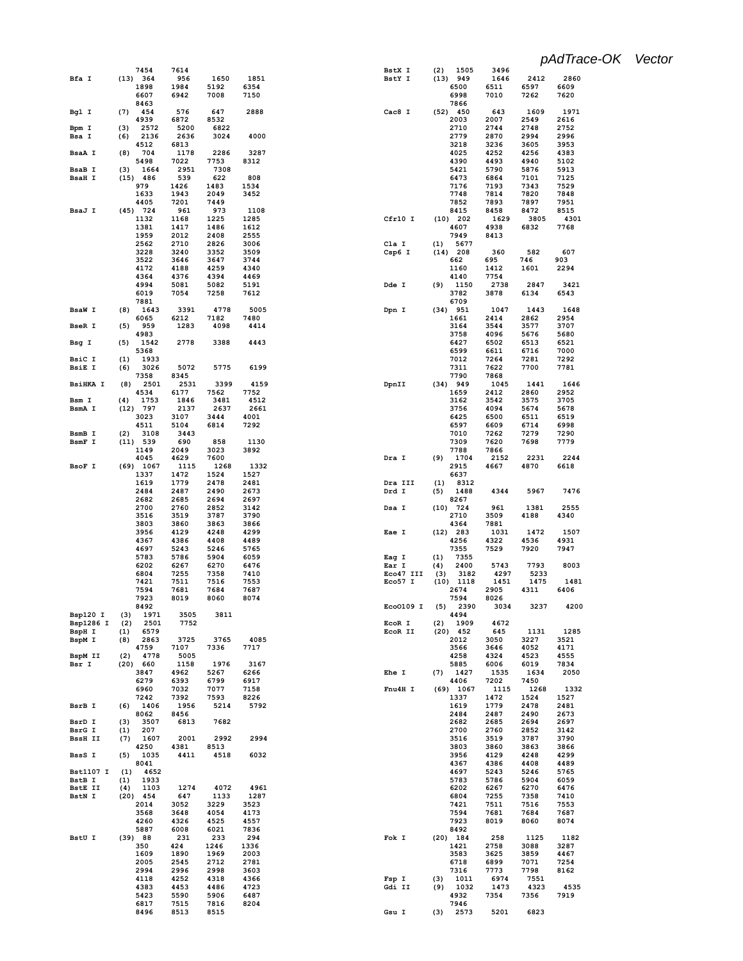|                  | 7454         | 7614         |              |      | BstX I    | (2) | 1505               | 3496 |      |      |
|------------------|--------------|--------------|--------------|------|-----------|-----|--------------------|------|------|------|
| Bfa I            | (13) 364     | 956          | 1650         | 1851 | BstY I    |     | (13) 949           | 1646 | 2412 | 2860 |
|                  |              |              |              |      |           |     |                    |      |      |      |
|                  | 1898         | 1984         | 5192         | 6354 |           |     | 6500               | 6511 | 6597 | 6609 |
|                  | 6607         | 6942         | 7008         | 7150 |           |     | 6998               | 7010 | 7262 | 7620 |
|                  | 8463         |              |              |      |           |     | 7866               |      |      |      |
| Bgl I            | (7)<br>454   | 576          | 647          | 2888 | Cac8 I    |     | $(52)$ 450         | 643  | 1609 | 1971 |
|                  |              |              |              |      |           |     |                    |      |      |      |
|                  | 4939         | 6872         | 8532         |      |           |     | 2003               | 2007 | 2549 | 2616 |
| Bpm I            | (3)<br>2572  | 5200         | 6822         |      |           |     | 2710               | 2744 | 2748 | 2752 |
| Bsa I            | 2136<br>(6)  | 2636         | 3024         | 4000 |           |     | 2779               | 2870 | 2994 | 2996 |
|                  | 4512         | 6813         |              |      |           |     | 3218               | 3236 | 3605 | 3953 |
|                  |              |              |              |      |           |     |                    |      |      |      |
| <b>BsaA I</b>    | 704<br>(8)   | 1178         | 2286         | 3287 |           |     | 4025               | 4252 | 4256 | 4383 |
|                  | 5498         | 7022         | 7753         | 8312 |           |     | 4390               | 4493 | 4940 | 5102 |
| <b>BsaB</b> I    | 1664<br>(3)  | 2951         | 7308         |      |           |     | 5421               | 5790 | 5876 | 5913 |
| <b>BsaH I</b>    | $(15)$ 486   | 539          | 622          | 808  |           |     | 6473               | 6864 | 7101 | 7125 |
|                  |              |              |              |      |           |     |                    |      |      |      |
|                  | 979          | 1426         | 1483         | 1534 |           |     | 7176               | 7193 | 7343 | 7529 |
|                  | 1633         | 1943         | 2049         | 3452 |           |     | 7748               | 7814 | 7820 | 7848 |
|                  | 4405         | 7201         | 7449         |      |           |     | 7852               | 7893 | 7897 | 7951 |
| BsaJ I           | $(45)$ 724   | 961          | 973          | 1108 |           |     | 8415               | 8458 | 8472 | 8515 |
|                  | 1132         | 1168         | 1225         | 1285 | Cfr10 I   |     | $(10)$ 202         | 1629 | 3805 | 4301 |
|                  |              |              |              |      |           |     |                    |      |      |      |
|                  | 1381         | 1417         | 1486         | 1612 |           |     | 4607               | 4938 | 6832 | 7768 |
|                  | 1959         | 2012         | 2408         | 2555 |           |     | 7949               | 8413 |      |      |
|                  | 2562         | 2710         | 2826         | 3006 | Cla I     | (1) | 5677               |      |      |      |
|                  | 3228         | 3240         | 3352         | 3509 | $Csp6$ I  |     | $(14)$ 208         | 360  | 582  | 607  |
|                  |              |              |              |      |           |     |                    |      |      |      |
|                  | 3522         | 3646         | 3647         | 3744 |           |     | 662                | 695  | 746  | 903  |
|                  | 4172         | 4188         | 4259         | 4340 |           |     | 1160               | 1412 | 1601 | 2294 |
|                  | 4364         | 4376         | 4394         | 4469 |           |     | 4140               | 7754 |      |      |
|                  | 4994         | 5081         | 5082         | 5191 | Dde I     | (9) | 1150               | 2738 | 2847 | 3421 |
|                  |              |              |              |      |           |     |                    |      |      |      |
|                  | 6019         | 7054         | 7258         | 7612 |           |     | 3782               | 3878 | 6134 | 6543 |
|                  | 7881         |              |              |      |           |     | 6709               |      |      |      |
| <b>BsaW I</b>    | 1643<br>(8)  | 3391         | 4778         | 5005 | Dpn I     |     | $(34)$ 951         | 1047 | 1443 | 1648 |
|                  | 6065         | 6212         | 7182         | 7480 |           |     | 1661               | 2414 | 2862 | 2954 |
|                  |              |              |              |      |           |     |                    |      |      |      |
| <b>BseR I</b>    | 959<br>(5)   | 1283         | 4098         | 4414 |           |     | 3164               | 3544 | 3577 | 3707 |
|                  | 4983         |              |              |      |           |     | 3758               | 4096 | 5676 | 5680 |
| Bsg I            | 1542<br>(5)  | 2778         | 3388         | 4443 |           |     | 6427               | 6502 | 6513 | 6521 |
|                  | 5368         |              |              |      |           |     | 6599               | 6611 | 6716 | 7000 |
|                  |              |              |              |      |           |     |                    |      |      |      |
| BsiC I           | (1)<br>1933  |              |              |      |           |     | 7012               | 7264 | 7281 | 7292 |
| <b>BsiE I</b>    | 3026<br>(6)  | 5072         | 5775         | 6199 |           |     | 7311               | 7622 | 7700 | 7781 |
|                  | 7358         | 8345         |              |      |           |     | 7790               | 7868 |      |      |
| <b>BsiHKA I</b>  |              | 2501<br>2531 | 3399         | 4159 | DpnII     |     | $(34)$ 949         | 1045 | 1441 | 1646 |
|                  | (8)          |              |              |      |           |     |                    |      |      |      |
|                  | 4534         | 6177         | 7562         | 7752 |           |     | 1659               | 2412 | 2860 | 2952 |
| Bsm I            | (4)<br>1753  | 1846         | 3481         | 4512 |           |     | 3162               | 3542 | 3575 | 3705 |
| BsmA I           | $(12)$ 797   | 2137         | 2637         | 2661 |           |     | 3756               | 4094 | 5674 | 5678 |
|                  | 3023         | 3107         | 3444         | 4001 |           |     |                    | 6500 | 6511 | 6519 |
|                  |              |              |              |      |           |     | 6425               |      |      |      |
|                  | 4511         | 5104         | 6814         | 7292 |           |     | 6597               | 6609 | 6714 | 6998 |
| BsmB I           | (2)<br>3108  | 3443         |              |      |           |     | 7010               | 7262 | 7279 | 7290 |
| BsmF I           | $(11)$ 539   | 690          | 858          | 1130 |           |     | 7309               | 7620 | 7698 | 7779 |
|                  | 1149         | 2049         | 3023         | 3892 |           |     | 7788               | 7866 |      |      |
|                  |              |              |              |      |           |     |                    |      |      |      |
|                  | 4045         | 4629         | 7600         |      | Dra I     | (9) | 1704               | 2152 | 2231 | 2244 |
| BsoF I           | $(69)$ 1067  | 1115         | 1268         | 1332 |           |     | 2915               | 4667 | 4870 | 6618 |
|                  | 1337         | 1472         | 1524         | 1527 |           |     | 6637               |      |      |      |
|                  | 1619         | 1779         | 2478         | 2481 | Dra III   | (1) | 8312               |      |      |      |
|                  |              |              |              |      |           |     |                    |      |      |      |
|                  | 2484         | 2487         | 2490         | 2673 | Drd I     | (5) | 1488               | 4344 | 5967 | 7476 |
|                  | 2682         | 2685         | 2694         | 2697 |           |     | 8267               |      |      |      |
|                  | 2700         | 2760         | 2852         | 3142 | Dsa I     |     | $(10)$ 724         | 961  | 1381 | 2555 |
|                  | 3516         | 3519         | 3787         | 3790 |           |     | 2710               | 3509 | 4188 | 4340 |
|                  |              |              |              |      |           |     |                    |      |      |      |
|                  | 3803         | 3860         | 3863         | 3866 |           |     | 4364               | 7881 |      |      |
|                  | 3956         | 4129         | 4248         | 4299 | Eae I     |     | $(12)$ 283         | 1031 | 1472 | 1507 |
|                  | 4367         | 4386         | 4408         | 4489 |           |     | 4256               | 4322 | 4536 | 4931 |
|                  | 4697         | 5243         | 5246         | 5765 |           |     | 7355               | 7529 | 7920 | 7947 |
|                  |              |              |              |      |           |     |                    |      |      |      |
|                  | 5783         | 5786         | 5904         | 6059 | Eag I     | (1) | 7355               |      |      |      |
|                  | 6202         | 6267         | 6270         | 6476 | Ear I     | (4) | 2400               | 5743 | 7793 | 8003 |
|                  | 6804         | 7255         | 7358         | 7410 | Eco47 III | (3) | 3182               | 4297 | 5233 |      |
|                  | 7421         | 7511         | 7516         | 7553 | Eco57 I   |     | $(10)$ 1118        | 1451 | 1475 | 1481 |
|                  |              |              |              |      |           |     |                    |      |      |      |
|                  | 7594         | 7681         | 7684         | 7687 |           |     | 2674               | 2905 | 4311 | 6406 |
|                  | 7923         | 8019         | 8060         | 8074 |           |     | 7594               | 8026 |      |      |
|                  | 8492         |              |              |      | Eco0109 I | (5) | 2390               | 3034 | 3237 | 4200 |
| Bsp120 I         | (3)          | 1971<br>3505 | 3811         |      |           |     | 4494               |      |      |      |
|                  |              |              |              |      |           |     |                    |      |      |      |
| Bsp1286 I        | (2)          | 2501<br>7752 |              |      | EcoR I    | (2) | 1909               | 4672 |      |      |
| BspH I           | (1)<br>6579  |              |              |      | EcoR II   |     | $(20)$ 452         | 645  | 1131 | 1285 |
| BspM I           | 2863<br>(8)  | 3725         | 3765         | 4085 |           |     | 2012               | 3050 | 3227 | 3521 |
|                  | 4759         | 7107         | 7336         | 7717 |           |     | 3566               | 3646 | 4052 | 4171 |
| BspM II          | 4778<br>(2)  | 5005         |              |      |           |     | 4258               | 4324 | 4523 | 4555 |
| Bsr I            | (20) 660     |              |              |      |           |     |                    |      |      |      |
|                  |              | 1158         | 1976         | 3167 |           |     | 5885               | 6006 | 6019 | 7834 |
|                  | 3847         | 4962         | 5267         | 6266 | Ehe I     | (7) | 1427               | 1535 | 1634 | 2050 |
|                  | 6279         | 6393         | 6799         | 6917 |           |     | 4406               | 7202 | 7450 |      |
|                  | 6960         | 7032         | 7077         | 7158 | Fnu4H I   |     | $(69)$ 1067        | 1115 | 1268 | 1332 |
|                  |              |              |              |      |           |     |                    |      |      |      |
|                  | 7242         | 7392         | 7593         | 8226 |           |     | 1337               | 1472 | 1524 | 1527 |
| BsrB I           | 1406<br>(6)  | 1956         | 5214         | 5792 |           |     | 1619               | 1779 | 2478 | 2481 |
|                  | 8062         | 8456         |              |      |           |     | 2484               | 2487 | 2490 | 2673 |
| BsrD I           | 3507<br>(3)  | 6813         | 7682         |      |           |     | 2682               | 2685 | 2694 | 2697 |
|                  |              |              |              |      |           |     | 2700               |      |      |      |
| BsrG I           | 207<br>(1)   |              |              |      |           |     |                    | 2760 | 2852 | 3142 |
| <b>BssH II</b>   | 1607<br>(7)  | 2001         | 2992         | 2994 |           |     | 3516               | 3519 | 3787 | 3790 |
|                  | 4250         | 4381         | 8513         |      |           |     | 3803               | 3860 | 3863 | 3866 |
| BssS I           | 1035<br>(5)  | 4411         | 4518         | 6032 |           |     | 3956               | 4129 | 4248 | 4299 |
|                  | 8041         |              |              |      |           |     |                    |      |      | 4489 |
|                  |              |              |              |      |           |     | 4367               | 4386 | 4408 |      |
| <b>Bst1107 I</b> | (1)          | 4652         |              |      |           |     | 4697               | 5243 | 5246 | 5765 |
| BstB I           | (1)<br>1933  |              |              |      |           |     | 5783               | 5786 | 5904 | 6059 |
| BstE II          | 1103<br>(4)  | 1274         | 4072         | 4961 |           |     | 6202               | 6267 | 6270 | 6476 |
| BstN I           | $(20)$ 454   | 647          | 1133         | 1287 |           |     | 6804               | 7255 | 7358 | 7410 |
|                  |              |              |              |      |           |     |                    |      |      |      |
|                  | 2014         | 3052         | 3229         | 3523 |           |     | 7421               | 7511 | 7516 | 7553 |
|                  | 3568         | 3648         | 4054         | 4173 |           |     | 7594               | 7681 | 7684 | 7687 |
|                  | 4260         | 4326         | 4525         | 4557 |           |     | 7923               | 8019 | 8060 | 8074 |
|                  |              |              |              |      |           |     |                    |      |      |      |
|                  | 5887         | 6008         | 6021         | 7836 |           |     | 8492               |      |      |      |
| BstU I           | (39) 88      | 231          | 233          | 294  | Fok I     |     | $(20)$ 184         | 258  | 1125 | 1182 |
|                  | 350          | 424          | 1246         | 1336 |           |     | 1421               | 2758 | 3088 | 3287 |
|                  | 1609         | 1890         | 1969         | 2003 |           |     | 3583               | 3625 | 3859 | 4467 |
|                  | 2005         | 2545         | 2712         | 2781 |           |     |                    |      | 7071 | 7254 |
|                  |              |              |              |      |           |     | 6718               | 6899 |      |      |
|                  | 2994         | 2996         | 2998         | 3603 |           |     | 7316               | 7773 | 7798 | 8162 |
|                  | 4118         | 4252         | 4318         | 4366 | Fsp I     | (3) | 1011               | 6974 | 7551 |      |
|                  | 4383         | 4453         | 4486         | 4723 | Gdi II    | (9) | 1032               | 1473 | 4323 | 4535 |
|                  |              |              |              |      |           |     |                    |      |      |      |
|                  |              |              |              |      |           |     |                    |      |      |      |
|                  | 5423         | 5590         | 5906         | 6487 |           |     | 4932               | 7354 | 7356 | 7919 |
|                  | 6817<br>8496 | 7515<br>8513 | 7816<br>8515 | 8204 | Gsu I     |     | 7946<br>$(3)$ 2573 | 5201 | 6823 |      |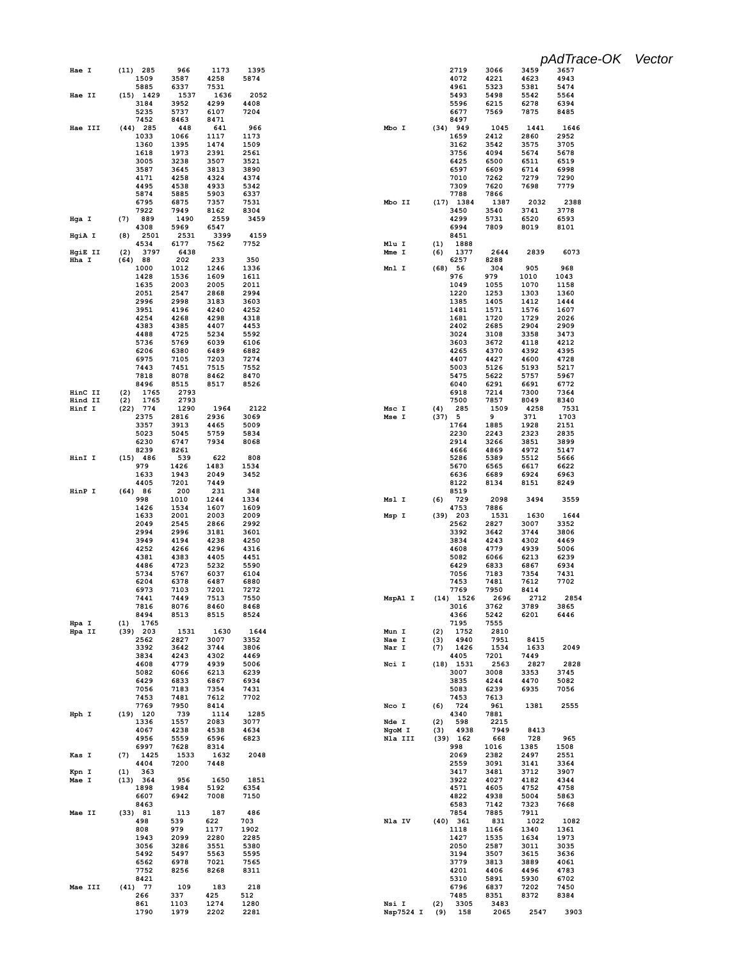|                   |                           |              |              |              |                              |     |                     |              |              | pAdTrace-OK Vector |  |
|-------------------|---------------------------|--------------|--------------|--------------|------------------------------|-----|---------------------|--------------|--------------|--------------------|--|
| Hae I             | (11) 285                  | 966          | 1173         | 1395         |                              |     | 2719                | 3066         | 3459         | 3657               |  |
|                   | 1509<br>5885              | 3587<br>6337 | 4258<br>7531 | 5874         |                              |     | 4072<br>4961        | 4221<br>5323 | 4623<br>5381 | 4943<br>5474       |  |
| Hae II            | $(15)$ 1429               | 1537         | 1636         | 2052         |                              |     | 5493                | 5498         | 5542         | 5564               |  |
|                   | 3184<br>5235              | 3952<br>5737 | 4299<br>6107 | 4408<br>7204 |                              |     | 5596<br>6677        | 6215<br>7569 | 6278<br>7875 | 6394<br>8485       |  |
|                   | 7452                      | 8463         | 8471         |              |                              |     | 8497                |              |              |                    |  |
| Hae III           | $(44)$ 285<br>1033        | 448<br>1066  | 641<br>1117  | 966<br>1173  | Mbo I                        |     | $(34)$ 949<br>1659  | 1045<br>2412 | 1441<br>2860 | 1646<br>2952       |  |
|                   | 1360                      | 1395         | 1474         | 1509         |                              |     | 3162                | 3542         | 3575         | 3705               |  |
|                   | 1618<br>3005              | 1973         | 2391         | 2561         |                              |     | 3756                | 4094         | 5674         | 5678               |  |
|                   | 3587                      | 3238<br>3645 | 3507<br>3813 | 3521<br>3890 |                              |     | 6425<br>6597        | 6500<br>6609 | 6511<br>6714 | 6519<br>6998       |  |
|                   | 4171                      | 4258         | 4324         | 4374         |                              |     | 7010                | 7262         | 7279         | 7290               |  |
|                   | 4495<br>5874              | 4538<br>5885 | 4933<br>5903 | 5342<br>6337 |                              |     | 7309<br>7788        | 7620<br>7866 | 7698         | 7779               |  |
|                   | 6795                      | 6875         | 7357         | 7531         | Mbo II                       |     | $(17)$ 1384         | 1387         | 2032         | 2388               |  |
| Hga I             | 7922<br>(7)<br>889        | 7949<br>1490 | 8162<br>2559 | 8304<br>3459 |                              |     | 3450<br>4299        | 3540<br>5731 | 3741<br>6520 | 3778<br>6593       |  |
|                   | 4308                      | 5969         | 6547         |              |                              |     | 6994                | 7809         | 8019         | 8101               |  |
| HgiA I            | (8)<br>2501<br>4534       | 2531<br>6177 | 3399<br>7562 | 4159<br>7752 | Mlu I                        | (1) | 8451<br>1888        |              |              |                    |  |
| HgiE II           | (2)<br>3797               | 6438         |              |              | Mme I                        | (6) | 1377                | 2644         | 2839         | 6073               |  |
| Hha I             | $(64)$ 88                 | 202          | 233          | 350          |                              |     | 6257                | 8288         |              |                    |  |
|                   | 1000<br>1428              | 1012<br>1536 | 1246<br>1609 | 1336<br>1611 | Mnl I                        |     | (68) 56<br>976      | 304<br>979   | 905<br>1010  | 968<br>1043        |  |
|                   | 1635                      | 2003         | 2005         | 2011         |                              |     | 1049                | 1055         | 1070         | 1158               |  |
|                   | 2051<br>2996              | 2547<br>2998 | 2868<br>3183 | 2994<br>3603 |                              |     | 1220<br>1385        | 1253<br>1405 | 1303<br>1412 | 1360<br>1444       |  |
|                   | 3951                      | 4196         | 4240         | 4252         |                              |     | 1481                | 1571         | 1576         | 1607               |  |
|                   | 4254<br>4383              | 4268<br>4385 | 4298<br>4407 | 4318         |                              |     | 1681<br>2402        | 1720<br>2685 | 1729<br>2904 | 2026<br>2909       |  |
|                   | 4488                      | 4725         | 5234         | 4453<br>5592 |                              |     | 3024                | 3108         | 3358         | 3473               |  |
|                   | 5736                      | 5769         | 6039         | 6106         |                              |     | 3603                | 3672         | 4118         | 4212               |  |
|                   | 6206<br>6975              | 6380<br>7105 | 6489<br>7203 | 6882<br>7274 |                              |     | 4265<br>4407        | 4370<br>4427 | 4392<br>4600 | 4395<br>4728       |  |
|                   | 7443                      | 7451         | 7515         | 7552         |                              |     | 5003                | 5126         | 5193         | 5217               |  |
|                   | 7818<br>8496              | 8078<br>8515 | 8462<br>8517 | 8470<br>8526 |                              |     | 5475<br>6040        | 5622<br>6291 | 5757<br>6691 | 5967<br>6772       |  |
| HinC II           | 1765<br>(2)               | 2793         |              |              |                              |     | 6918                | 7214         | 7300         | 7364               |  |
| Hind II<br>Hinf I | 1765<br>(2)<br>$(22)$ 774 | 2793<br>1290 |              |              |                              |     | 7500<br>285         | 7857<br>1509 | 8049<br>4258 | 8340<br>7531       |  |
|                   | 2375                      | 2816         | 1964<br>2936 | 2122<br>3069 | Msc I<br>Mse I               | (4) | (37) 5              | 9            | 371          | 1703               |  |
|                   | 3357                      | 3913         | 4465         | 5009         |                              |     | 1764                | 1885         | 1928         | 2151               |  |
|                   | 5023<br>6230              | 5045<br>6747 | 5759<br>7934 | 5834<br>8068 |                              |     | 2230<br>2914        | 2243<br>3266 | 2323<br>3851 | 2835<br>3899       |  |
|                   | 8239                      | 8261         |              |              |                              |     | 4666                | 4869         | 4972         | 5147               |  |
| HinI I            | $(15)$ 486<br>979         | 539<br>1426  | 622<br>1483  | 808<br>1534  |                              |     | 5286<br>5670        | 5389<br>6565 | 5512<br>6617 | 5666<br>6622       |  |
|                   | 1633                      | 1943         | 2049         | 3452         |                              |     | 6636                | 6689         | 6924         | 6963               |  |
| HinP I            | 4405                      | 7201         | 7449         |              |                              |     | 8122                | 8134         | 8151         | 8249               |  |
|                   | (64) 86<br>998            | 200<br>1010  | 231<br>1244  | 348<br>1334  | Msl I                        | (6) | 8519<br>729         | 2098         | 3494         | 3559               |  |
|                   | 1426                      | 1534         | 1607         | 1609         |                              |     | 4753                | 7886         |              |                    |  |
|                   | 1633<br>2049              | 2001<br>2545 | 2003<br>2866 | 2009<br>2992 | Msp I                        |     | $(39)$ 203<br>2562  | 1531<br>2827 | 1630<br>3007 | 1644<br>3352       |  |
|                   | 2994                      | 2996         | 3181         | 3601         |                              |     | 3392                | 3642         | 3744         | 3806               |  |
|                   | 3949<br>4252              | 4194<br>4266 | 4238<br>4296 | 4250<br>4316 |                              |     | 3834<br>4608        | 4243<br>4779 | 4302<br>4939 | 4469<br>5006       |  |
|                   | 4381                      | 4383         | 4405         | 4451         |                              |     | 5082                | 6066         | 6213         | 6239               |  |
|                   | 4486<br>5734              | 4723<br>5767 | 5232<br>6037 | 5590<br>6104 |                              |     | 6429<br>7056        | 6833<br>7183 | 6867<br>7354 | 6934<br>7431       |  |
|                   | 6204                      | 6378         | 6487         | 6880         |                              |     | 7453                | 7481         | 7612         | 7702               |  |
|                   | 6973                      | 7103         | 7201         | 7272         |                              |     | 7769                | 7950         | 8414         |                    |  |
|                   | 7441<br>7816              | 7449<br>8076 | 7513<br>8460 | 7550<br>8468 | MspA1 I                      |     | $(14)$ 1526<br>3016 | 2696<br>3762 | 2712<br>3789 | 2854<br>3865       |  |
|                   | 8494                      | 8513         | 8515         | 8524         |                              |     | 4366                | 5242         | 6201         | 6446               |  |
| Hpa I<br>Hpa II   | $(1)$ 1765<br>$(39)$ 203  | 1531         | 1630         | 1644         | Mun I                        | (2) | 7195<br>1752        | 7555<br>2810 |              |                    |  |
|                   | 2562                      | 2827         | 3007         | 3352         | Nae I                        | (3) | 4940                | 7951         | 8415         |                    |  |
|                   | 3392<br>3834              | 3642<br>4243 | 3744<br>4302 | 3806<br>4469 | Nar I                        | (7) | 1426<br>4405        | 1534<br>7201 | 1633<br>7449 | 2049               |  |
|                   | 4608                      | 4779         | 4939         | 5006         | Nci I                        |     | $(18)$ 1531         | 2563         | 2827         | 2828               |  |
|                   | 5082<br>6429              | 6066<br>6833 | 6213<br>6867 | 6239<br>6934 |                              |     | 3007<br>3835        | 3008<br>4244 | 3353<br>4470 | 3745<br>5082       |  |
|                   | 7056                      | 7183         | 7354         | 7431         |                              |     | 5083                | 6239         | 6935         | 7056               |  |
|                   | 7453<br>7769              | 7481<br>7950 | 7612<br>8414 | 7702         | Nco I                        | (6) | 7453<br>724         | 7613<br>961  | 1381         | 2555               |  |
| Hph I             | $(19)$ 120                | 739          | 1114         | 1285         |                              |     | 4340                | 7881         |              |                    |  |
|                   | 1336                      | 1557         | 2083         | 3077         | Nde I                        | (2) | 598                 | 2215         |              |                    |  |
|                   | 4067<br>4956              | 4238<br>5559 | 4538<br>6596 | 4634<br>6823 | NgoM <sub>I</sub><br>Nla III | (3) | 4938<br>$(39)$ 162  | 7949<br>668  | 8413<br>728  | 965                |  |
|                   | 6997                      | 7628         | 8314         |              |                              |     | 998                 | 1016         | 1385         | 1508               |  |
| Kas I             | (7)<br>1425<br>4404       | 1533<br>7200 | 1632<br>7448 | 2048         |                              |     | 2069<br>2559        | 2382<br>3091 | 2497<br>3141 | 2551<br>3364       |  |
| Kpn I             | 363<br>(1)                |              |              |              |                              |     | 3417                | 3481         | 3712         | 3907               |  |
| Mae I             | (13) 364<br>1898          | 956<br>1984  | 1650<br>5192 | 1851<br>6354 |                              |     | 3922<br>4571        | 4027<br>4605 | 4182<br>4752 | 4344<br>4758       |  |
|                   | 6607                      | 6942         | 7008         | 7150         |                              |     | 4822                | 4938         | 5004         | 5863               |  |
|                   | 8463                      |              |              |              |                              |     | 6583                | 7142         | 7323         | 7668               |  |
| Mae II            | (33) 81<br>498            | 113<br>539   | 187<br>622   | 486<br>703   | Nla IV                       |     | 7854<br>$(40)$ 361  | 7885<br>831  | 7911<br>1022 | 1082               |  |
|                   | 808                       | 979          | 1177         | 1902         |                              |     | 1118                | 1166         | 1340         | 1361               |  |
|                   | 1943<br>3056              | 2099<br>3286 | 2280<br>3551 | 2285<br>5380 |                              |     | 1427<br>2050        | 1535<br>2587 | 1634<br>3011 | 1973<br>3035       |  |
|                   | 5492                      | 5497         | 5563         | 5595         |                              |     | 3194                | 3507         | 3615         | 3636               |  |
|                   | 6562<br>7752              | 6978<br>8256 | 7021<br>8268 | 7565<br>8311 |                              |     | 3779<br>4201        | 3813<br>4406 | 3889<br>4496 | 4061<br>4783       |  |
|                   | 8421                      |              |              |              |                              |     | 5310                | 5891         | 5930         | 6702               |  |
| Mae III           | $(41)$ 77<br>266          | 109<br>337   | 183<br>425   | 218<br>512   |                              |     | 6796<br>7485        | 6837<br>8351 | 7202<br>8372 | 7450<br>8384       |  |
|                   | 861                       | 1103         | 1274         | 1280         | Nsi I                        | (2) | 3305                | 3483         |              |                    |  |
|                   | 1790                      | 1979         | 2202         | 2281         | <b>Nsp7524 I</b>             | (9) | 158                 | 2065         | 2547         | 3903               |  |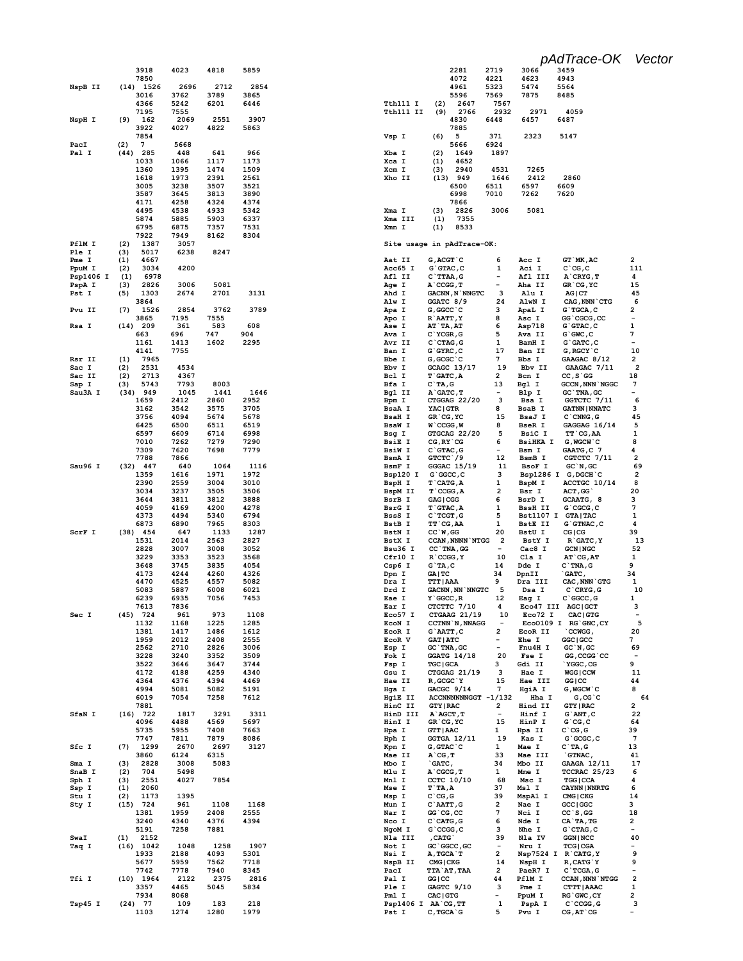|                     | 3918<br>7850               | 4023         | 4818         | 5859         |
|---------------------|----------------------------|--------------|--------------|--------------|
| NspB II             | (14)<br>1526               | 2696         | 2712         | 2854         |
|                     | 3016                       | 3762         | 3789         | 3865         |
|                     | 4366                       | 5242         | 6201         | 6446         |
| NspH I              | 7195<br>(9)<br>162         | 7555<br>2069 | 2551         | 3907         |
|                     | 3922                       | 4027         | 4822         | 5863         |
|                     | 7854                       |              |              |              |
| PacI                | (2)<br>7                   | 5668         |              |              |
| Pal I               | (44)<br>285<br>1033        | 448<br>1066  | 641<br>1117  | 966<br>1173  |
|                     | 1360                       | 1395         | 1474         | 1509         |
|                     | 1618                       | 1973         | 2391         | 2561         |
|                     | 3005                       | 3238         | 3507         | 3521         |
|                     | 3587<br>4171               | 3645<br>4258 | 3813<br>4324 | 3890<br>4374 |
|                     | 4495                       | 4538         | 4933         | 5342         |
|                     | 5874                       | 5885         | 5903         | 6337         |
|                     | 6795                       | 6875         | 7357         | 7531         |
| PflM I              | 7922<br>1387<br>(2)        | 7949<br>3057 | 8162         | 8304         |
| Ple I               | 5017<br>(3)                | 6238         | 8247         |              |
| Pme I               | (1)<br>4667                |              |              |              |
| PpuM I<br>Psp1406 I | (2)<br>3034<br>6978<br>(1) | 4200         |              |              |
| PspA I              | (3)<br>2826                | 3006         | 5081         |              |
| Pst I               | (5)<br>1303                | 2674         | 2701         | 3131         |
|                     | 3864                       |              |              |              |
| Pvu II              | (7)<br>1526<br>3865        | 2854<br>7195 | 3762<br>7555 | 3789         |
| Rsa I               | (14)<br>209                | 361          | 583          | 608          |
|                     | 663                        | 696          | 747          | 904          |
|                     | 1161                       | 1413<br>7755 | 1602         | 2295         |
| Rsr II              | 4141<br>7965<br>(1)        |              |              |              |
| Sac I               | 2531<br>(2)                | 4534         |              |              |
| Sac II              | (2)<br>2713                | 4367         |              |              |
| Sap I               | 5743<br>(3)<br>949         | 7793<br>1045 | 8003<br>1441 | 1646         |
| Sau3A I             | (34)<br>1659               | 2412         | 2860         | 2952         |
|                     | 3162                       | 3542         | 3575         | 3705         |
|                     | 3756                       | 4094         | 5674         | 5678         |
|                     | 6425<br>6597               | 6500<br>6609 | 6511<br>6714 | 6519<br>6998 |
|                     | 7010                       | 7262         | 7279         | 7290         |
|                     | 7309                       | 7620         | 7698         | 7779         |
| Sau96 I             | 7788<br>(32)<br>447        | 7866<br>640  | 1064         | 1116         |
|                     | 1359                       | 1616         | 1971         | 1972         |
|                     | 2390                       | 2559         | 3004         | 3010         |
|                     | 3034                       | 3237         | 3505         | 3506         |
|                     | 3644<br>4059               | 3811<br>4169 | 3812<br>4200 | 3888<br>4278 |
|                     | 4373                       | 4494         | 5340         | 6794         |
|                     | 6873                       | 6890         | 7965         | 8303         |
| ScrF I              | (38)<br>454<br>1531        | 647<br>2014  | 1133<br>2563 | 1287<br>2827 |
|                     | 2828                       | 3007         | 3008         | 3052         |
|                     | 3229                       | 3353         | 3523         | 3568         |
|                     | 3648                       | 3745         | 3835         | 4054         |
|                     | 4173<br>4470               | 4244<br>4525 | 4260<br>4557 | 4326<br>5082 |
|                     | 5083                       | 5887         | 6008         | 6021         |
|                     | 6239                       | 6935         | 7056         | 7453         |
|                     | 7613                       | 7836<br>961  | 973          | 1108         |
| Sec I               | (45) 724<br>1132           | 1168         | 1225         | 1285         |
|                     | 1381                       | 1417         | 1486         | 1612         |
|                     | 1959                       | 2012         | 2408         | 2555         |
|                     | 2562<br>3228               | 2710<br>3240 | 2826<br>3352 | 3006<br>3509 |
|                     | 3522                       | 3646         | 3647         | 3744         |
|                     | 4172                       | 4188         | 4259         | 4340         |
|                     | 4364<br>4994               | 4376<br>5081 | 4394<br>5082 | 4469<br>5191 |
|                     | 6019                       | 7054         | 7258         | 7612         |
|                     | 7881                       |              |              |              |
| SfaN I              | (16)<br>722<br>4096        | 1817         | 3291<br>4569 | 3311<br>5697 |
|                     | 5735                       | 4488<br>5955 | 7408         | 7663         |
|                     | 7747                       | 7811         | 7879         | 8086         |
| Sfc I               | 1299<br>(7)                | 2670         | 2697         | 3127         |
| Sma I               | 3860<br>2828<br>(3)        | 6124<br>3008 | 6315<br>5083 |              |
| SnaB I              | 704<br>(2)                 | 5498         |              |              |
| Sph I               | (3)<br>2551                | 4027         | 7854         |              |
| Ssp I<br>Stu I      | (1)<br>2060<br>1173<br>(2) | 1395         |              |              |
| Sty I               | (15)<br>724                | 961          | 1108         | 1168         |
|                     | 1381                       | 1959         | 2408         | 2555         |
|                     | 3240                       | 4340         | 4376         | 4394         |
| SwaI                | 5191<br>(1)<br>2152        | 7258         | 7881         |              |
| Taq I               | 1042<br>(16)               | 1048         | 1258         | 1907         |
|                     | 1933                       | 2188         | 4093         | 5301         |
|                     | 5677<br>7742               | 5959         | 7562<br>7940 | 7718         |
| Tfi I               | $(10)$ 1964                | 7778<br>2122 | 2375         | 8345<br>2816 |
|                     | 3357                       | 4465         | 5045         | 5834         |
|                     | 7934                       | 8068         |              |              |
| Tsp45 I             | $(24)$ 77<br>1103          | 109<br>1274  | 183<br>1280  | 218<br>1979  |
|                     |                            |              |              |              |

|                                |                                             |                                |                          | pAdTrace-OK Vector                            |                                |  |  |  |  |  |  |
|--------------------------------|---------------------------------------------|--------------------------------|--------------------------|-----------------------------------------------|--------------------------------|--|--|--|--|--|--|
|                                | 2281                                        | 2719                           | 3066                     | 3459                                          |                                |  |  |  |  |  |  |
|                                | 4072                                        | 4221                           | 4623                     | 4943                                          |                                |  |  |  |  |  |  |
|                                | 4961<br>5596                                | 5323<br>7569                   | 5474<br>7875             | 5564<br>8485                                  |                                |  |  |  |  |  |  |
| Tth111 I                       | 2647<br>(2)                                 | 7567                           |                          |                                               |                                |  |  |  |  |  |  |
| Tth111 II                      | (9)<br>2766<br>4830                         | 2932<br>6448                   | 2971<br>6457             | 4059<br>6487                                  |                                |  |  |  |  |  |  |
|                                | 7885                                        |                                |                          |                                               |                                |  |  |  |  |  |  |
| Vsp I                          | (6)<br>5                                    | 371                            | 2323                     | 5147                                          |                                |  |  |  |  |  |  |
| Xba I                          | 5666<br>(2)<br>1649                         | 6924<br>1897                   |                          |                                               |                                |  |  |  |  |  |  |
| Xca I                          | 4652<br>(1)                                 |                                |                          |                                               |                                |  |  |  |  |  |  |
| Xcm I                          | 2940<br>(3)                                 | 4531                           | 7265                     |                                               |                                |  |  |  |  |  |  |
| Xho II                         | (13)<br>949<br>6500                         | 1646<br>6511                   | 2412<br>6597             | 2860<br>6609                                  |                                |  |  |  |  |  |  |
|                                | 6998                                        | 7010                           | 7262                     | 7620                                          |                                |  |  |  |  |  |  |
| Xma I                          | 7866<br>2826<br>(3)                         | 3006                           | 5081                     |                                               |                                |  |  |  |  |  |  |
| Xma III                        | 7355<br>(1)                                 |                                |                          |                                               |                                |  |  |  |  |  |  |
| Xmn I                          | 8533<br>(1)                                 |                                |                          |                                               |                                |  |  |  |  |  |  |
| Site usage in pAdTrace-OK:     |                                             |                                |                          |                                               |                                |  |  |  |  |  |  |
| Aat II                         | $G, ACGT$ $C$                               | 6                              | Acc I                    | GT `MK, AC                                    | 2                              |  |  |  |  |  |  |
| Acc65 I                        | $G$ $G$ TAC, C                              | 1                              | Aci I                    | $C^{\dagger}CG, C$                            | 111                            |  |  |  |  |  |  |
| Afl II                         | C`TTAA, G<br>$A$ $CCGG, T$                  | $\overline{\phantom{a}}$       | Afl III<br>Aha II        | $A$ $CRYG$ , $T$<br>GR`CG, YC                 | 4<br>15                        |  |  |  |  |  |  |
| Age I<br>Ahd I                 | <b>GACNN, N`NNGTC</b>                       | $\mathbf{3}$                   | Alu I                    | $AG$ $ CT$                                    | 45                             |  |  |  |  |  |  |
| Alw I                          | GGATC 8/9                                   | 24                             | AlwN I                   | CAG, NNN `CTG                                 | 6                              |  |  |  |  |  |  |
| Apa I<br>Apo I                 | G, GGCC `C<br>R`AATT, Y                     | з<br>8                         | ApaL I<br>Asc I          | $G$ TGCA, C<br>GG`CGCG, CC                    | 2                              |  |  |  |  |  |  |
| Ase I                          | AT`TA, AT                                   | 6                              | Asp718                   | G`GTAC, C                                     | 1                              |  |  |  |  |  |  |
| Ava I                          | C`YCGR, G                                   | 5                              | Ava II                   | $G$ $GWC$ , $C$                               | 7                              |  |  |  |  |  |  |
| Avr II<br>Ban I                | $C$ $CTAG$ , $G$<br>$G$ $GYRC$ , $C$        | 1<br>17                        | BamH I<br>Ban II         | $G$ $GATC$ , $C$<br>$G$ , $RGCY$ $C$          | 10                             |  |  |  |  |  |  |
| Bbe I                          | G, GCGC `C                                  | 7                              | Bbs I                    | GAAGAC 8/12                                   | 2                              |  |  |  |  |  |  |
| Bbv I                          | GCAGC 13/17                                 | 19                             | Bbv II                   | GAAGAC 7/11                                   | 2                              |  |  |  |  |  |  |
| Bcl I<br>Bfa I                 | $T$ GATC, A<br>$C^T A, G$                   | 2<br>13                        | Bcn I<br>Bgl I           | $CC, S \ G G$<br><b>GCCN, NNN `NGGC</b>       | 18<br>7                        |  |  |  |  |  |  |
| Bgl II                         | A`GATC, T                                   | -                              | Blp I                    | GC TNA, GC                                    |                                |  |  |  |  |  |  |
| Bpm I                          | CTGGAG 22/20                                | 3                              | Bsa I                    | GGTCTC 7/11                                   | 6                              |  |  |  |  |  |  |
| BsaA I<br><b>BsaH I</b>        | <b>YAC   GTR</b><br>GR`CG, YC               | 8<br>15                        | <b>BsaB</b> I<br>BsaJ I  | <b>GATNN   NNATC</b><br>$C$ $CMNG$ , $G$      | з<br>45                        |  |  |  |  |  |  |
| <b>BsaW I</b>                  | W`CCGG, W                                   | 8                              | <b>BseR I</b>            | GAGGAG 16/14                                  | 5                              |  |  |  |  |  |  |
| Bsg I                          | GTGCAG 22/20                                | 5                              | BsiC I                   | TT CG, AA                                     | 1<br>8                         |  |  |  |  |  |  |
| <b>BsiE I</b><br><b>BsiW I</b> | $CG, RY$ $CG$<br>$C$ $GTAC$ , $G$           | 6<br>$\overline{\phantom{0}}$  | <b>BsiHKA I</b><br>Bsm I | G, MGCW C<br>GAATG, C 7                       | 4                              |  |  |  |  |  |  |
| BsmA I                         | GTCTC / 9                                   | 12                             | BsmB I                   | CGTCTC 7/11                                   | 2                              |  |  |  |  |  |  |
| BsmF I                         | GGGAC 15/19                                 | 11<br>з                        | BsoF I                   | $GC^N$ , $GC$                                 | 69<br>2                        |  |  |  |  |  |  |
| Bsp120 I<br>BspH I             | $G$ $GC$ , $C$<br>$T$ $\hat{C}$ $ATG$ , $A$ | 1                              | BspM I                   | Bsp1286 I G, DGCH C<br>ACCTGC 10/14           | 8                              |  |  |  |  |  |  |
| BspM II                        | $T$ $CCGG, A$                               | 2                              | Bsr I                    | ACT, GG                                       | 20                             |  |  |  |  |  |  |
| BsrB I<br>BsrG I               | GAG   CGG<br>$T$ $GTAC$ , $A$               | 6<br>1                         | BsrD I<br>BssH II        | GCAATG, 8<br>$G$ $CGCG, C$                    | з<br>7                         |  |  |  |  |  |  |
| BssS I                         | C`TCGT, G                                   | 5                              |                          | Bst1107 I GTA TAC                             | 1                              |  |  |  |  |  |  |
| BstB I                         | <b>TT</b> CG, AA                            | 1                              | BstE II                  | G`GTNAC, C                                    | 4                              |  |  |  |  |  |  |
| BstN I<br>BstX I               | $CC^W$ , GG<br>CCAN, NNNN NTGG 2            | 20                             | BstU I<br>BstY I         | CG   CG<br>R`GATC, Y                          | 39<br>13                       |  |  |  |  |  |  |
| Bsu36 I                        | $CC$ `TNA, GG                               | $-$                            | Cac8 I                   | <b>GCN   NGC</b>                              | 52                             |  |  |  |  |  |  |
| Cfr10 I                        | $R$ $CCGG, Y$                               | 10                             | Cla I                    | $AT$ $CG, AT$                                 | 1                              |  |  |  |  |  |  |
| Csp6 I<br>Dpn I                | $G$ `TA,C<br>GA   TC                        | 14<br>34                       | Dde I<br>DpnII           | $C$ `TNA, $G$<br>`GATC,                       | 9<br>34                        |  |  |  |  |  |  |
| Dra I                          | <b>TTT   AAA</b>                            | 9                              | Dra III                  | ${\rm CAC}$ , ${\rm NNN}$ $^{\backprime}$ GTG | 1                              |  |  |  |  |  |  |
| Drd I                          | <b>GACNN, NN`NNGTC</b>                      | $5\phantom{a}$                 | Dsa I                    | $C$ $CRYG$ , $G$                              | 10                             |  |  |  |  |  |  |
| Eae I<br>Ear I                 | $Y$ GGCC, R<br>CTCTTC 7/10                  | 12<br>4                        | Eag I                    | $C$ $GC$ , $G$<br>Eco47 III AGC GCT           | 1<br>з                         |  |  |  |  |  |  |
| Eco57 I                        | CTGAAG 21/19                                | 10                             | Eco72 I                  | CAC   GTG                                     | $\overline{\phantom{a}}$       |  |  |  |  |  |  |
| EcoN I<br>EcoR I               | <b>CCTNN `N, NNAGG</b><br>G`AATT, C         | 2                              | EcoR II                  | Eco0109 I RG'GNC, CY<br>CCWGG,                | 5<br>20                        |  |  |  |  |  |  |
| EcoR V                         | <b>GAT   ATC</b>                            | Ξ.                             | Ehe I                    | GGC   GCC                                     | 7                              |  |  |  |  |  |  |
| Esp I                          | GC`TNA, GC                                  | $\overline{\phantom{0}}$       | Fnu4H I                  | GC'N, GC                                      | 69                             |  |  |  |  |  |  |
| Fok I<br>Fsp I                 | $GGATG$ 14/18<br><b>TGC   GCA</b>           | 20<br>з                        | Fse I<br>Gdi II          | GG, CCGG CC<br>`YGGC, CG                      | $\overline{a}$<br>9            |  |  |  |  |  |  |
| Gsu I                          | CTGGAG 21/19                                | з                              | <b>Hae I</b>             | <b>WGG   CCW</b>                              | 11                             |  |  |  |  |  |  |
| Hae II                         | R, GCGC `Y                                  | 15<br>7                        | Hae III                  | GG   CC                                       | 44<br>8                        |  |  |  |  |  |  |
| Hga I<br>HqiE II               | GACGC 9/14<br>ACCNNNNNNGGT -1/132           |                                | HgiA I<br>Hha I          | G, WGCW `C<br>$G, CG$ $C$                     | 64                             |  |  |  |  |  |  |
| HinC II                        | <b>GTY   RAC</b>                            | 2                              | Hind II                  | <b>GTY   RAC</b>                              | 2                              |  |  |  |  |  |  |
| HinD III<br>HinI I             | A AGCT, T<br>GR`CG, YC                      | $\overline{\phantom{a}}$<br>15 | Hinf I<br>HinP I         | $G$ `ANT, $C$<br>$G^{\wedge}CG, C$            | 22<br>64                       |  |  |  |  |  |  |
| Hpa I                          | <b>GTT   AAC</b>                            | $\mathbf{1}$                   | Hpa II                   | $C^{\dagger}CG$ , G                           | 39                             |  |  |  |  |  |  |
| Hph I                          | GGTGA 12/11                                 | 19                             | Kas I                    | $G$ ` $GCGC$ , $C$                            | 7                              |  |  |  |  |  |  |
| Kpn I<br>Mae II                | $G$ , $G$ TAC $^{\circ}C$<br>$A$ $CG, T$    | 1<br>33                        | Mae I<br>Mae III         | $C^T A, G$<br>`GTNAC,                         | 13<br>41                       |  |  |  |  |  |  |
| Mbo I                          | `GATC,                                      | 34                             | Mbo II                   | GAAGA 12/11                                   | 17                             |  |  |  |  |  |  |
| Mlu I                          | $A$ $CGCG$ , $T$                            | $\mathbf{1}$                   | Mme I                    | TCCRAC 25/23                                  | 6                              |  |  |  |  |  |  |
| Mnl I<br>Mse I                 | CCTC 10/10<br>$T$ TA, A                     | 68<br>37                       | Msc I<br>Msl I           | <b>TGG   CCA</b><br><b>CAYNN   NNRTG</b>      | 4<br>6                         |  |  |  |  |  |  |
| Msp I                          | $C$ $CG, G$                                 | 39                             | MspA1 I                  | $CMG$ $ CKG$                                  | 14                             |  |  |  |  |  |  |
| Mun I                          | $C$ AATT, $G$                               | 2                              | Nae I                    | GCC   GGC                                     | з<br>18                        |  |  |  |  |  |  |
| Nar I<br>Nco I                 | GG `CG, CC<br>$C$ $CATG$ , $G$              | 7<br>6                         | Nci I<br>Nde I           | CC S, GG<br>$CA$ $TA$ , $TG$                  | 2                              |  |  |  |  |  |  |
| NgoM I                         | G`CCGG, C                                   | з                              | Nhe I                    | $G$ $CTAG$ , $C$                              | $\overline{\phantom{a}}$       |  |  |  |  |  |  |
| Nla III                        | , CATG`                                     | 39<br>$\overline{\phantom{a}}$ | Nla IV                   | <b>GGN   NCC</b>                              | 40<br>$\overline{\phantom{a}}$ |  |  |  |  |  |  |
| Not I<br>Nsi I                 | GC `GGCC, GC<br>A, TGCA`T                   | 2                              | Nru I                    | <b>TCG   CGA</b><br>Nsp7524 I R`CATG, Y       | 9                              |  |  |  |  |  |  |
| NspB II                        | CMG   CKG                                   | 14                             | NspH I                   | R, CATG `Y                                    | 9                              |  |  |  |  |  |  |
| PacI<br>Pal I                  | TTA`AT, TAA<br>GG   CC                      | 2<br>44                        | PaeR7 I<br>PflM I        | $C$ TCGA, G<br><b>CCAN, NNN `NTGG</b>         | $\overline{\phantom{0}}$<br>2  |  |  |  |  |  |  |
| Ple I                          | GAGTC 9/10                                  | з                              | Pme I                    | CTTT   AAAC                                   | 1                              |  |  |  |  |  |  |
| Pm1 I                          | $CAC$ $ \,$ GTG                             | $\overline{\phantom{0}}$       | PpuM I                   | RG GWC, CY                                    | 2                              |  |  |  |  |  |  |
| Pst I                          | Psp1406 I AA CG, TT<br>C, TGCA G            | 1<br>5                         | PspA I<br>Pvu I          | $C$ $CCGG$ , $G$<br>$CG, AT$ $CG$             | 3<br>-                         |  |  |  |  |  |  |